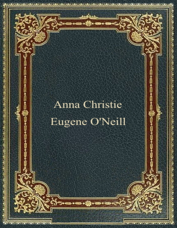# Anna Christie Eugene O'Neill

きんいきゃんきゃんきゃんきゃんきゃんきゃんきゃんきゃんきゃんきゃんきゃんき

مراقب ومراقبه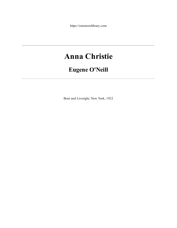https://onemorelibrary.com

# **Anna Christie**

# **Eugene O'Neill**

Boni and Liveright, New York, 1922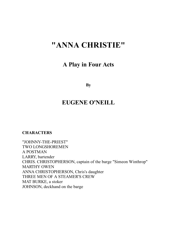# **"ANNA CHRISTIE"**

### **A Play in Four Acts**

**By**

## **EUGENE O'NEILL**

**CHARACTERS**

"JOHNNY-THE-PRIEST" TWO LONGSHOREMEN A POSTMAN LARRY, bartender CHRIS. CHRISTOPHERSON, captain of the barge "Simeon Winthrop" MARTHY OWEN ANNA CHRISTOPHERSON, Chris's daughter THREE MEN OF A STEAMER'S CREW MAT BURKE, a stoker JOHNSON, deckhand on the barge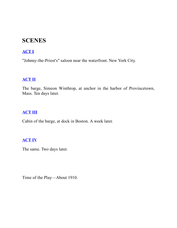## **SCENES**

#### **[ACT](#page-3-0) I**

"Johnny-the-Priest's" saloon near the waterfront. New York City.

#### **[ACT](#page-30-0) II**

The barge, Simeon Winthrop, at anchor in the harbor of Provincetown, Mass. Ten days later.

#### **[ACT](#page-48-0) III**

Cabin of the barge, at dock in Boston. A week later.

#### **[ACT](#page-73-0) IV**

The same. Two days later.

<span id="page-3-0"></span>Time of the Play—About 1910.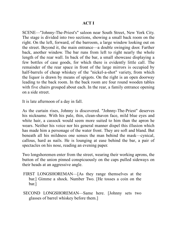#### **ACT I**

SCENE—"Johnny-The-Priest's" saloon near South Street, New York City. The stage is divided into two sections, showing a small back room on the right. On the left, forward, of the barroom, a large window looking out on the street. Beyond it, the main entrance—a double swinging door. Farther back, another window. The bar runs from left to right nearly the whole length of the rear wall. In back of the bar, a small showcase displaying a few bottles of case goods, for which there is evidently little call. The remainder of the rear space in front of the large mirrors is occupied by half-barrels of cheap whiskey of the "nickel-a-shot" variety, from which the liquor is drawn by means of spigots. On the right is an open doorway leading to the back room. In the back room are four round wooden tables with five chairs grouped about each. In the rear, a family entrance opening on a side street.

It is late afternoon of a day in fall.

As the curtain rises, Johnny is discovered. "Johnny-The-Priest" deserves his nickname. With his pale, thin, clean-shaven face, mild blue eyes and white hair, a cassock would seem more suited to him than the apron he wears. Neither his voice nor his general manner dispel this illusion which has made him a personage of the water front. They are soft and bland. But beneath all his mildness one senses the man behind the mask—cynical, callous, hard as nails. He is lounging at ease behind the bar, a pair of spectacles on his nose, reading an evening paper.

Two longshoremen enter from the street, wearing their working aprons, the button of the union pinned conspicuously on the caps pulled sideways on their heads at an aggressive angle.

- FIRST LONGSHOREMAN—[As they range themselves at the bar.] Gimme a shock. Number Two. [He tosses a coin on the bar.]
- SECOND LONGSHOREMAN—Same here. [Johnny sets two glasses of barrel whiskey before them.]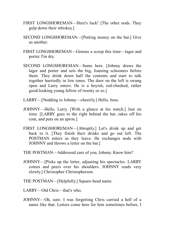- FIRST LONGSHOREMAN—Here's luck! [The other nods. They gulp down their whiskey.]
- SECOND LONGSHOREMAN—[Putting money on the bar.] Give us another.
- FIRST LONGSHOREMAN—Gimme a scoop this time—lager and porter. I'm dry.
- SECOND LONGSHOREMAN—Same here. [Johnny draws the lager and porter and sets the big, foaming schooners before them. They drink down half the contents and start to talk together hurriedly in low tones. The door on the left is swung open and Larry enters. He is a boyish, red-cheeked, rather good-looking young fellow of twenty or so.]
- LARRY—[Nodding to Johnny—cheerily.] Hello, boss.
- JOHNNY—Hello, Larry. [With a glance at his watch.] Just on time. [LARRY goes to the right behind the bar, takes off his coat, and puts on an apron.]
- FIRST LONGSHOREMAN—[Abruptly.] Let's drink up and get back to it. [They finish their drinks and go out left. The POSTMAN enters as they leave. He exchanges nods with JOHNNY and throws a letter on the bar.]
- THE POSTMAN—Addressed care of you, Johnny. Know him?
- JOHNNY—[Picks up the letter, adjusting his spectacles. LARRY comes and peers over his shoulders. JOHNNY reads very slowly.] Christopher Christopherson.
- THE POSTMAN—[Helpfully.] Square-head name.
- LARRY—Old Chris—that's who.
- JOHNNY—Oh, sure. I was forgetting Chris carried a hell of a name like that. Letters come here for him sometimes before, I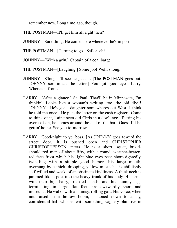remember now. Long time ago, though.

THE POSTMAN—It'll get him all right then?

JOHNNY—Sure thing. He comes here whenever he's in port.

THE POSTMAN—[Turning to go.] Sailor, eh?

JOHNNY—[With a grin.] Captain of a coal barge.

THE POSTMAN—[Laughing.] Some job! Well, s'long.

- JOHNNY—S'long. I'll see he gets it. [The POSTMAN goes out. JOHNNY scrutinizes the letter.] You got good eyes, Larry. Where's it from?
- LARRY—[After a glance.] St. Paul. That'll be in Minnesota, I'm thinkin'. Looks like a woman's writing, too, the old divil! JOHNNY—He's got a daughter somewheres out West, I think he told me once. [He puts the letter on the cash register.] Come to think of it, I ain't seen old Chris in a dog's age. [Putting his overcoat on, he comes around the end of the bar.] Guess I'll be gettin' home. See you to-morrow.
- LARRY—Good-night to ye, boss. [As JOHNNY goes toward the street door, it is pushed open and CHRISTOPHER CHRISTOPHERSON enters. He is a short, squat, broadshouldered man of about fifty, with a round, weather-beaten, red face from which his light blue eyes peer short-sightedly, twinkling with a simple good humor. His large mouth, overhung by a thick, drooping, yellow mustache, is childishly self-willed and weak, of an obstinate kindliness. A thick neck is jammed like a post into the heavy trunk of his body. His arms with their big, hairy, freckled hands, and his stumpy legs terminating in large flat feet, are awkwardly short and muscular. He walks with a clumsy, rolling gait. His voice, when not raised in a hollow boom, is toned down to a sly, confidential half-whisper with something vaguely plaintive in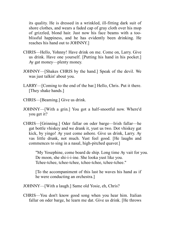its quality. He is dressed in a wrinkled, ill-fitting dark suit of shore clothes, and wears a faded cap of gray cloth over his mop of grizzled, blond hair. Just now his face beams with a tooblissful happiness, and he has evidently been drinking. He reaches his hand out to JOHNNY.]

- CHRIS—Hello, Yohnny! Have drink on me. Come on, Larry. Give us drink. Have one yourself. [Putting his hand in his pocket.] Ay gat money—plenty money.
- JOHNNY—[Shakes CHRIS by the hand.] Speak of the devil. We was just talkin' about you.
- LARRY—[Coming to the end of the bar.] Hello, Chris. Put it there. [They shake hands.]
- CHRIS—[Beaming.] Give us drink.
- JOHNNY—[With a grin.] You got a half-snootful now. Where'd you get it?
- CHRIS—[Grinning.] Oder fallar on oder barge—Irish fallar—he gat bottle vhiskey and we drank it, yust us two. Dot vhiskey gat kick, by yingo! Ay yust come ashore. Give us drink, Larry. Ay vas little drunk, not much. Yust feel good. [He laughs and commences to sing in a nasal, high-pitched quaver.]

"My Yosephine, come board de ship. Long time Ay vait for you. De moon, she shi-i-i-ine. She looka yust like you. Tchee-tchee, tchee-tchee, tchee-tchee, tchee-tchee."

[To the accompaniment of this last he waves his hand as if he were conducting an orchestra.]

JOHNNY—[With a laugh.] Same old Yosie, eh, Chris?

CHRIS—You don't know good song when you hear him. Italian fallar on oder barge, he learn me dat. Give us drink. [He throws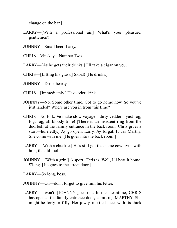change on the bar.]

- LARRY—[With a professional air.] What's your pleasure, gentlemen?
- JOHNNY—Small beer, Larry.

CHRIS—Vhiskey—Number Two.

LARRY—[As he gets their drinks.] I'll take a cigar on you.

CHRIS—[Lifting his glass.] Skoal! [He drinks.]

JOHNNY—Drink hearty.

CHRIS—[Immediately.] Have oder drink.

- JOHNNY—No. Some other time. Got to go home now. So you've just landed? Where are you in from this time?
- CHRIS—Norfolk. Ve make slow voyage—dirty vedder—yust fog, fog, fog, all bloody time! [There is an insistent ring from the doorbell at the family entrance in the back room. Chris gives a start—hurriedly.] Ay go open, Larry. Ay forgat. It vas Marthy. She come with me. [He goes into the back room.]
- LARRY—[With a chuckle.] He's still got that same cow livin' with him, the old fool!
- JOHNNY—[With a grin.] A sport, Chris is. Well, I'll beat it home. S'long. [He goes to the street door.]

LARRY—So long, boss.

- JOHNNY—Oh—don't forget to give him his letter.
- LARRY—I won't. [JOHNNY goes out. In the meantime, CHRIS has opened the family entrance door, admitting MARTHY. She might be forty or fifty. Her jowly, mottled face, with its thick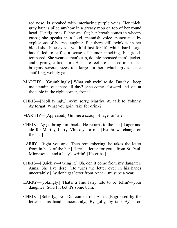red nose, is streaked with interlacing purple veins. Her thick, gray hair is piled anyhow in a greasy mop on top of her round head. Her figure is flabby and fat; her breath comes in wheezy gasps; she speaks in a loud, mannish voice, punctuated by explosions of hoarse laughter. But there still twinkles in her blood-shot blue eyes a youthful lust for life which hard usage has failed to stifle, a sense of humor mocking, but goodtempered. She wears a man's cap, double-breasted man's jacket, and a grimy, calico skirt. Her bare feet are encased in a man's brogans several sizes too large for her, which gives her a shuffling, wobbly gait.]

- MARTHY—[Grumblingly.] What yuh tryin' to do, Dutchy—keep me standin' out there all day? [She comes forward and sits at the table in the right corner, front.]
- CHRIS—[Mollifyingly.] Ay'm sorry, Marthy. Ay talk to Yohnny. Ay forgat. What you goin' take for drink?
- MARTHY—[Appeased.] Gimme a scoop of lager an' ale.
- CHRIS—Ay go bring him back. [He returns to the bar.] Lager and ale for Marthy, Larry. Vhiskey for me. [He throws change on the bar.]
- LARRY—Right you are. [Then remembering, he takes the letter from in back of the bar.] Here's a letter for you—from St. Paul, Minnesota—and a lady's writin'. [He grins.]
- CHRIS—[Quickly—taking it.] Oh, den it come from my daughter, Anna. She live dere. [He turns the letter over in his hands uncertainly.] Ay don't gat letter from Anna—must be a year.
- LARRY—[Jokingly.] That's a fine fairy tale to be tellin'—your daughter! Sure I'll bet it's some bum.
- CHRIS—[Soberly.] No. Dis come from Anna. [Engrossed by the letter in his hand—uncertainly.] By golly, Ay tank Ay'm too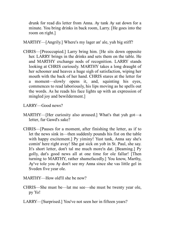drunk for read dis letter from Anna. Ay tank Ay sat down for a minute. You bring drinks in back room, Larry. [He goes into the room on right.]

MARTHY—[Angrily.] Where's my lager an' ale, yuh big stiff?

CHRIS—[Preoccupied.] Larry bring him. [He sits down opposite her. LARRY brings in the drinks and sets them on the table. He and MARTHY exchange nods of recognition. LARRY stands looking at CHRIS curiously. MARTHY takes a long draught of her schooner and heaves a huge sigh of satisfaction, wiping her mouth with the back of her hand. CHRIS stares at the letter for a moment—slowly opens it, and, squinting his eyes, commences to read laboriously, his lips moving as he spells out the words. As he reads his face lights up with an expression of mingled joy and bewilderment.]

LARRY—Good news?

- MARTHY—[Her curiosity also aroused.] What's that yuh got—a letter, fur Gawd's sake?
- CHRIS—[Pauses for a moment, after finishing the letter, as if to let the news sink in—then suddenly pounds his fist on the table with happy excitement.] Py yiminy! Yust tank, Anna say she's comin' here right avay! She gat sick on yob in St. Paul, she say. It's short letter, don't tal me much more'n dat. [Beaming.] Py golly, dat's good news all at one time for ole fallar! [Then turning to MARTHY, rather shamefacedly.] You know, Marthy, Ay've tole you Ay don't see my Anna since she vas little gel in Sveden five year ole.
- MARTHY—How old'll she be now?
- CHRIS—She must be—lat me see—she must be twenty year ole, py Yo!
- LARRY—[Surprised.] You've not seen her in fifteen years?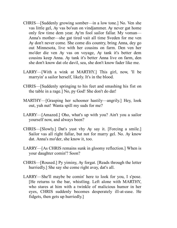- CHRIS—[Suddenly growing somber—in a low tone.] No. Ven she vas little gel, Ay vas bo'sun on vindjammer. Ay never gat home only few time dem year. Ay'm fool sailor fallar. My voman— Anna's mother—she gat tired vait all time Sveden for me ven Ay don't never come. She come dis country, bring Anna, dey go out Minnesota, live with her cousins on farm. Den ven her mo'der die ven Ay vas on voyage, Ay tank it's better dem cousins keep Anna. Ay tank it's better Anna live on farm, den she don't know dat ole davil, sea, she don't know fader like me.
- LARRY—[With a wink at MARTHY.] This girl, now, 'll be marryin' a sailor herself, likely. It's in the blood.
- CHRIS—[Suddenly springing to his feet and smashing his fist on the table in a rage.] No, py God! She don't do dat!
- MARTHY—[Grasping her schooner hastily—angrily.] Hey, look out, yuh nut! Wanta spill my suds for me?
- LARRY—[Amazed.] Oho, what's up with you? Ain't you a sailor yourself now, and always been?
- CHRIS—[Slowly.] Dat's yust vhy Ay say it. [Forcing a smile.] Sailor vas all right fallar, but not for marry gel. No. Ay know dat. Anna's mo'der, she know it, too.
- LARRY—[As CHRIS remains sunk in gloomy reflection.] When is your daughter comin'? Soon?
- CHRIS—[Roused.] Py yiminy, Ay forgat. [Reads through the letter hurriedly.] She say she come right avay, dat's all.
- LARRY—She'll maybe be comin' here to look for you, I s'pose. [He returns to the bar, whistling. Left alone with MARTHY, who stares at him with a twinkle of malicious humor in her eyes, CHRIS suddenly becomes desperately ill-at-ease. He fidgets, then gets up hurriedly.]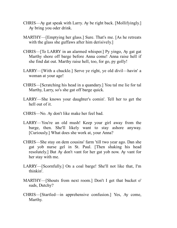- CHRIS—Ay gat speak with Larry. Ay be right back. [Mollifyingly.] Ay bring you oder drink.
- MARTHY—[Emptying her glass.] Sure. That's me. [As he retreats with the glass she guffaws after him derisively.]
- CHRIS—[To LARRY in an alarmed whisper.] Py yingo, Ay gat gat Marthy shore off barge before Anna come! Anna raise hell if she find dat out. Marthy raise hell, too, for go, py golly!
- LARRY—[With a chuckle.] Serve ye right, ye old divil—havin' a woman at your age!
- CHRIS—[Scratching his head in a quandary.] You tal me lie for tal Marthy, Larry, so's she gat off barge quick.
- LARRY—She knows your daughter's comin'. Tell her to get the hell out of it.
- CHRIS—No. Ay don't like make her feel bad.
- LARRY—You're an old mush! Keep your girl away from the barge, then. She'll likely want to stay ashore anyway. [Curiously.] What does she work at, your Anna?
- CHRIS—She stay on dem cousins' farm 'till two year ago. Dan she gat yob nurse gel in St. Paul. [Then shaking his head resolutely.] But Ay don't vant for her gat yob now. Ay vant for her stay with me.
- LARRY—[Scornfully.] On a coal barge! She'll not like that, I'm thinkin'.
- MARTHY—[Shouts from next room.] Don't I get that bucket o' suds, Dutchy?
- CHRIS—[Startled—in apprehensive confusion.] Yes, Ay come, Marthy.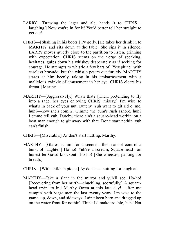- LARRY—[Drawing the lager and ale, hands it to CHRIS laughing.] Now you're in for it! You'd better tell her straight to get out!
- CHRIS—[Shaking in his boots.] Py golly. [He takes her drink in to MARTHY and sits down at the table. She sips it in silence. LARRY moves quietly close to the partition to listen, grinning with expectation. CHRIS seems on the verge of speaking, hesitates, gulps down his whiskey desperately as if seeking for courage. He attempts to whistle a few bars of "Yosephine" with careless bravado, but the whistle peters out futilely. MARTHY stares at him keenly, taking in his embarrassment with a malicious twinkle of amusement in her eye. CHRIS clears his throat.] Marthy—
- MARTHY—[Aggressively.] Wha's that? [Then, pretending to fly into a rage, her eyes enjoying CHRIS' misery.] I'm wise to what's in back of your nut, Dutchy. Yuh want to git rid o' me, huh?—now she's comin'. Gimme the bum's rush ashore, huh? Lemme tell yuh, Dutchy, there ain't a square-head workin' on a boat man enough to git away with that. Don't start nothin' yuh can't finish!
- CHRIS—[Miserably.] Ay don't start nutting, Marthy.
- MARTHY—[Glares at him for a second—then cannot control a burst of laughter.] Ho-ho! Yuh're a scream, Square-head—an honest-ter-Gawd knockout! Ho-ho! [She wheezes, panting for breath.]
- CHRIS—[With childish pique.] Ay don't see nutting for laugh at.
- MARTHY—Take a slant in the mirror and yuh'll see. Ho-ho! [Recovering from her mirth—chuckling, scornfully.] A squarehead tryin' to kid Marthy Owen at this late day!—after me campin' with barge men the last twenty years. I'm wise to the game, up, down, and sideways. I ain't been born and dragged up on the water front for nothin'. Think I'd make trouble, huh? Not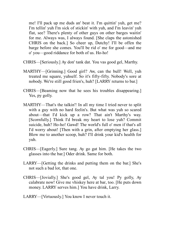me! I'll pack up me duds an' beat it. I'm quittin' yuh, get me? I'm tellin' yuh I'm sick of stickin' with yuh, and I'm leavin' yuh flat, see? There's plenty of other guys on other barges waitin' for me. Always was, I always found. [She claps the astonished CHRIS on the back.] So cheer up, Dutchy! I'll be offen the barge before she comes. You'll be rid o' me for good—and me o' you—good riddance for both of us. Ho-ho!

- CHRIS—[Seriously.] Ay don' tank dat. You vas good gel, Marthy.
- MARTHY—[Grinning.] Good girl? Aw, can the bull! Well, yuh treated me square, yuhself. So it's fifty-fifty. Nobody's sore at nobody. We're still good frien's, huh? [LARRY returns to bar.]
- CHRIS—[Beaming now that he sees his troubles disappearing.] Yes, py golly.
- MARTHY—That's the talkin'! In all my time I tried never to split with a guy with no hard feelin's. But what was yuh so scared about—that I'd kick up a row? That ain't Marthy's way. [Scornfully.] Think I'd break my heart to lose yuh? Commit suicide, huh? Ho-ho! Gawd! The world's full o' men if that's all I'd worry about! [Then with a grin, after emptying her glass.] Blow me to another scoop, huh? I'll drink your kid's health for yuh.
- CHRIS—[Eagerly.] Sure tang. Ay go gat him. [He takes the two glasses into the bar.] Oder drink. Same for both.
- LARRY—[Getting the drinks and putting them on the bar.] She's not such a bad lot, that one.
- CHRIS—[Jovially.] She's good gel, Ay tal you! Py golly, Ay calabrate now! Give me vhiskey here at bar, too. [He puts down money. LARRY serves him.] You have drink, Larry.
- LARRY—[Virtuously.] You know I never touch it.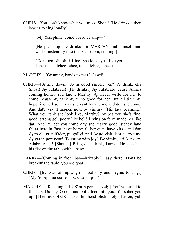CHRIS—You don't know what you miss. Skoal! [He drinks—then begins to sing loudly.]

"My Yosephine, come board de ship—"

[He picks up the drinks for MARTHY and himself and walks unsteadily into the back room, singing.]

"De moon, she shi-i-i-ine. She looks yust like you. Tche-tchee, tchee-tchee, tchee-tchee, tchee-tchee."

MARTHY—[Grinning, hands to ears.] Gawd!

- CHRIS—[Sitting down.] Ay'm good singer, yes? Ve drink, eh? Skoal! Ay calabrate! [He drinks.] Ay calabrate 'cause Anna's coming home. You know, Marthy, Ay never write for her to come, 'cause Ay tank Ay'm no good for her. But all time Ay hope like hell some day she vant for see me and den she come. And dat's vay it happen now, py yiminy! [His face beaming.] What you tank she look like, Marthy? Ay bet you she's fine, good, strong gel, pooty like hell! Living on farm made her like dat. And Ay bet you some day she marry good, steady land fallar here in East, have home all her own, have kits—and dan Ay'm ole grandfader, py golly! And Ay go visit dem every time Ay gat in port near! [Bursting with joy.] By yiminy crickens, Ay calabrate dat! [Shouts.] Bring oder drink, Larry! [He smashes his fist on the table with a bang.]
- LARRY—[Coming in from bar—irritably.] Easy there! Don't be breakin' the table, you old goat!
- CHRIS—[By way of reply, grins foolishly and begins to sing.] "My Yosephine comes board de ship—"
- MARTHY—[Touching CHRIS' arm persuasively.] You're soused to the ears, Dutchy. Go out and put a feed into you. It'll sober you up. [Then as CHRIS shakes his head obstinately.] Listen, yuh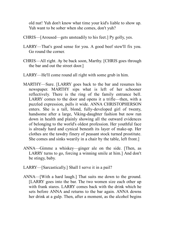old nut! Yuh don't know what time your kid's liable to show up. Yuh want to be sober when she comes, don't yuh?

- CHRIS—[Aroused—gets unsteadily to his feet.] Py golly, yes.
- LARRY—That's good sense for you. A good beef stew'll fix you. Go round the corner.
- CHRIS—All right. Ay be back soon, Marthy. [CHRIS goes through the bar and out the street door.]
- LARRY—He'll come round all right with some grub in him.
- MARTHY—Sure. [LARRY goes back to the bar and resumes his newspaper. MARTHY sips what is left of her schooner reflectively. There is the ring of the family entrance bell. LARRY comes to the door and opens it a trifle—then, with a puzzled expression, pulls it wide. ANNA CHRISTOPHERSON enters. She is a tall, blond, fully-developed girl of twenty, handsome after a large, Viking-daughter fashion but now run down in health and plainly showing all the outward evidences of belonging to the world's oldest profession. Her youthful face is already hard and cynical beneath its layer of make-up. Her clothes are the tawdry finery of peasant stock turned prostitute. She comes and sinks wearily in a chair by the table, left front.]
- ANNA—Gimme a whiskey—ginger ale on the side. [Then, as LARRY turns to go, forcing a winning smile at him.] And don't be stingy, baby.
- LARRY—[Sarcastically.] Shall I serve it in a pail?
- ANNA—[With a hard laugh.] That suits me down to the ground. [LARRY goes into the bar. The two women size each other up with frank stares. LARRY comes back with the drink which he sets before ANNA and returns to the bar again. ANNA downs her drink at a gulp. Then, after a moment, as the alcohol begins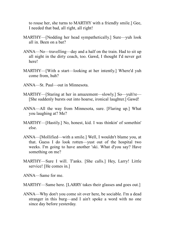to rouse her, she turns to MARTHY with a friendly smile.] Gee, I needed that bad, all right, all right!

- MARTHY—[Nodding her head sympathetically.] Sure—yuh look all in. Been on a bat?
- ANNA—No—travelling—day and a half on the train. Had to sit up all night in the dirty coach, too. Gawd, I thought I'd never get here!
- MARTHY—[With a start—looking at her intently.] Where'd yuh come from, huh?
- ANNA—St. Paul—out in Minnesota.
- MARTHY—[Staring at her in amazement—slowly.] So—yuh're— [She suddenly bursts out into hoarse, ironical laughter.] Gawd!
- ANNA—All the way from Minnesota, sure. [Flaring up.] What you laughing at? Me?
- MARTHY—[Hastily.] No, honest, kid. I was thinkin' of somethin' else.
- ANNA—[Mollified—with a smile.] Well, I wouldn't blame you, at that. Guess I do look rotten—yust out of the hospital two weeks. I'm going to have another 'ski. What d'you say? Have something on me?
- MARTHY—Sure I will. T'anks. [She calls.] Hey, Larry! Little service! [He comes in.]

ANNA—Same for me.

MARTHY—Same here. [LARRY takes their glasses and goes out.]

ANNA—Why don't you come sit over here, be sociable. I'm a dead stranger in this burg—and I ain't spoke a word with no one since day before yesterday.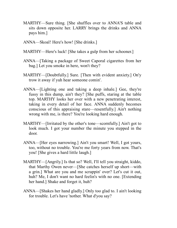- MARTHY—Sure thing. [She shuffles over to ANNA'S table and sits down opposite her. LARRY brings the drinks and ANNA pays him.]
- ANNA—Skoal! Here's how! [She drinks.]
- MARTHY—Here's luck! [She takes a gulp from her schooner.]
- ANNA—[Taking a package of Sweet Caporal cigarettes from her bag.] Let you smoke in here, won't they?
- MARTHY—[Doubtfully.] Sure. [Then with evident anxiety.] On'y trow it away if yuh hear someone comin'.
- ANNA—[Lighting one and taking a deep inhale.] Gee, they're fussy in this dump, ain't they? [She puffs, staring at the table top. MARTHY looks her over with a new penetrating interest, taking in every detail of her face. ANNA suddenly becomes conscious of this appraising stare—resentfully.] Ain't nothing wrong with me, is there? You're looking hard enough.
- MARTHY—[Irritated by the other's tone—scornfully.] Ain't got to look much. I got your number the minute you stepped in the door.
- ANNA—[Her eyes narrowing.] Ain't you smart! Well, I got yours, too, without no trouble. You're me forty years from now. That's you! [She gives a hard little laugh.]
- MARTHY—[Angrily.] Is that so? Well, I'll tell you straight, kiddo, that Marthy Owen never—[She catches herself up short—with a grin.] What are you and me scrappin' over? Let's cut it out, huh? Me, I don't want no hard feelin's with no one. [Extending her hand.] Shake and forget it, huh?
- ANNA—[Shakes her hand gladly.] Only too glad to. I ain't looking for trouble. Let's have 'nother. What d'you say?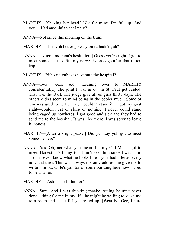- MARTHY—[Shaking her head.] Not for mine. I'm full up. And you— Had anythin' to eat lately?
- ANNA—Not since this morning on the train.
- MARTHY—Then yuh better go easy on it, hadn't yuh?
- ANNA—[After a moment's hesitation.] Guess you're right. I got to meet someone, too. But my nerves is on edge after that rotten trip.
- MARTHY—Yuh said yuh was just outa the hospital?
- ANNA—Two weeks ago. [Leaning over to MARTHY confidentially.] The joint I was in out in St. Paul got raided. That was the start. The judge give all us girls thirty days. The others didn't seem to mind being in the cooler much. Some of 'em was used to it. But me, I couldn't stand it. It got my goat right—couldn't eat or sleep or nothing. I never could stand being caged up nowheres. I got good and sick and they had to send me to the hospital. It was nice there. I was sorry to leave it, honest!
- MARTHY—[After a slight pause.] Did yuh say yuh got to meet someone here?
- ANNA—Yes. Oh, not what you mean. It's my Old Man I got to meet. Honest! It's funny, too. I ain't seen him since I was a kid —don't even know what he looks like—yust had a letter every now and then. This was always the only address he give me to write him back. He's yanitor of some building here now—used to be a sailor.

MARTHY—[Astonished.] Janitor!

ANNA—Sure. And I was thinking maybe, seeing he ain't never done a thing for me in my life, he might be willing to stake me to a room and eats till I get rested up. [Wearily.] Gee, I sure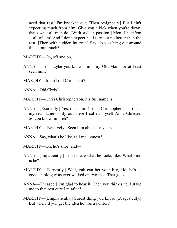need that rest! I'm knocked out. [Then resignedly.] But I ain't expecting much from him. Give you a kick when you're down, that's what all men do. [With sudden passion.] Men, I hate 'em —all of 'em! And I don't expect he'll turn out no better than the rest. [Then with sudden interest.] Say, do you hang out around this dump much?

MARTHY—Oh, off and on.

- ANNA—Then maybe you know him—my Old Man—or at least seen him?
- MARTHY—It ain't old Chris, is it?

ANNA—Old Chris?

MARTHY—Chris Christopherson, his full name is.

- ANNA—[Excitedly.] Yes, that's him! Anna Christopherson—that's my real name—only out there I called myself Anna Christie. So you know him, eh?
- MARTHY—[Evasively.] Seen him about for years.
- ANNA—Say, what's he like, tell me, honest?
- MARTHY—Oh, he's short and—
- ANNA—[Impatiently.] I don't care what he looks like. What kind is he?
- MARTHY—[Earnestly.] Well, yuh can bet your life, kid, he's as good an old guy as ever walked on two feet. That goes!
- ANNA—[Pleased.] I'm glad to hear it. Then you think's he'll stake me to that rest cure I'm after?
- MARTHY—[Emphatically.] Surest thing you know. [Disgustedly.] But where'd yuh get the idea he was a janitor?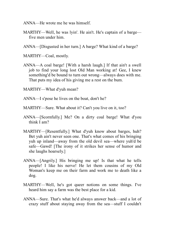ANNA—He wrote me he was himself.

- MARTHY—Well, he was lyin'. He ain't. He's captain of a barge five men under him.
- ANNA—[Disgusted in her turn.] A barge? What kind of a barge?

MARTHY—Coal, mostly.

ANNA—A coal barge! [With a harsh laugh.] If that ain't a swell job to find your long lost Old Man working at! Gee, I knew something'd be bound to turn out wrong—always does with me. That puts my idea of his giving me a rest on the bum.

MARTHY—What d'yuh mean?

ANNA—I s'pose he lives on the boat, don't he?

- MARTHY—Sure. What about it? Can't you live on it, too?
- ANNA—[Scornfully.] Me? On a dirty coal barge! What d'you think I am?
- MARTHY—[Resentfully.] What d'yuh know about barges, huh? Bet yuh ain't never seen one. That's what comes of his bringing yuh up inland—away from the old devil sea—where yuh'd be safe—Gawd! [The irony of it strikes her sense of humor and she laughs hoarsely.]
- ANNA—[Angrily.] His bringing me up! Is that what he tells people! I like his nerve! He let them cousins of my Old Woman's keep me on their farm and work me to death like a dog.
- MARTHY—Well, he's got queer notions on some things. I've heard him say a farm was the best place for a kid.
- ANNA—Sure. That's what he'd always answer back—and a lot of crazy stuff about staying away from the sea—stuff I couldn't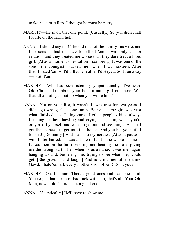make head or tail to. I thought he must be nutty.

- MARTHY—He is on that one point. [Casually.] So yuh didn't fall for life on the farm, huh?
- ANNA—I should say not! The old man of the family, his wife, and four sons—I had to slave for all of 'em. I was only a poor relation, and they treated me worse than they dare treat a hired girl. [After a moment's hesitation—somberly.] It was one of the sons—the youngest—started me—when I was sixteen. After that, I hated 'em so I'd killed 'em all if I'd stayed. So I run away —to St. Paul.
- MARTHY—[Who has been listening sympathetically.] I've heard Old Chris talkin' about your bein' a nurse girl out there. Was that all a bluff yuh put up when yuh wrote him?
- ANNA—Not on your life, it wasn't. It was true for two years. I didn't go wrong all at one jump. Being a nurse girl was yust what finished me. Taking care of other people's kids, always listening to their bawling and crying, caged in, when you're only a kid yourself and want to go out and see things. At last I got the chance—to get into that house. And you bet your life I took it! [Defiantly.] And I ain't sorry neither. [After a pause with bitter hatred.] It was all men's fault—the whole business. It was men on the farm ordering and beating me—and giving me the wrong start. Then when I was a nurse, it was men again hanging around, bothering me, trying to see what they could get. [She gives a hard laugh.] And now it's men all the time. Gawd, I hate 'em all, every mother's son of 'em! Don't you?
- MARTHY—Oh, I dunno. There's good ones and bad ones, kid. You've just had a run of bad luck with 'em, that's all. Your Old Man, now—old Chris—he's a good one.
- ANNA—[Sceptically.] He'll have to show me.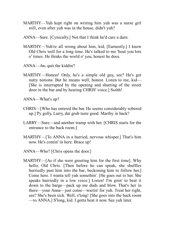- MARTHY—Yuh kept right on writing him yuh was a nurse girl still, even after yuh was in the house, didn't yuh?
- ANNA—Sure. [Cynically.] Not that I think he'd care a darn.
- MARTHY—Yuh're all wrong about him, kid, [Earnestly.] I know Old Chris well for a long time. He's talked to me 'bout you lots o' times. He thinks the world o' you, honest he does.
- ANNA—Aw, quit the kiddin'!
- MARTHY—Honest! Only, he's a simple old guy, see? He's got nutty notions. But he means well, honest. Listen to me, kid— [She is interrupted by the opening and shutting of the street door in the bar and by hearing CHRIS' voice.] Ssshh!

ANNA—What's up?

- CHRIS—[Who has entered the bar. He seems considerably sobered up.] Py golly, Larry, dat grub taste good. Marthy in back?
- LARRY—Sure—and another tramp with her. [CHRIS starts for the entrance to the back room.]
- MARTHY—[To ANNA in a hurried, nervous whisper.] That's him now. He's comin' in here. Brace up!
- ANNA—Who? [Chris opens the door.]
- MARTHY—[As if she were greeting him for the first time]. Why hello, Old Chris. [Then before he can speak, she shuffles hurriedly past him into the bar, beckoning him to follow her. Come here. I wanta tell yuh somethin'. [He goes out to her. She speaks hurriedly in a low voice.] Listen! I'm goin' to beat it down to the barge—pack up me duds and blow. That's her in there—your Anna—just come—waitin' for yuh. Treat her right, see? She's been sick. Well, s'long! [She goes into the back room —to ANNA.] S'long, kid. I gotta beat it now. See yuh later.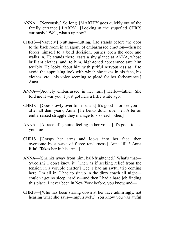- ANNA—[Nervously.] So long. [MARTHY goes quickly out of the family entrance.] LARRY—[Looking at the stupefied CHRIS curiously.] Well, what's up now?
- CHRIS—[Vaguely.] Nutting—nutting. [He stands before the door to the back room in an agony of embarrassed emotion—then he forces himself to a bold decision, pushes open the door and walks in. He stands there, casts a shy glance at ANNA, whose brilliant clothes, and, to him, high-toned appearance awe him terribly. He looks about him with pitiful nervousness as if to avoid the appraising look with which she takes in his face, his clothes, etc—his voice seeming to plead for her forbearance.] Anna!
- ANNA—[Acutely embarrassed in her turn.] Hello—father. She told me it was you. I yust got here a little while ago.
- CHRIS—[Goes slowly over to her chair.] It's good—for see you after all dem years, Anna. [He bends down over her. After an embarrassed struggle they manage to kiss each other.]
- ANNA—[A trace of genuine feeling in her voice.] It's good to see you, too.
- CHRIS—[Grasps her arms and looks into her face—then overcome by a wave of fierce tenderness.] Anna lilla! Anna lilla! [Takes her in his arms.]
- ANNA—[Shrinks away from him, half-frightened.] What's that— Swedish? I don't know it. [Then as if seeking relief from the tension in a voluble chatter.] Gee, I had an awful trip coming here. I'm all in. I had to sit up in the dirty coach all night couldn't get no sleep, hardly—and then I had a hard job finding this place. I never been in New York before, you know, and—
- CHRIS—[Who has been staring down at her face admiringly, not hearing what she says—impulsively.] You know you vas awful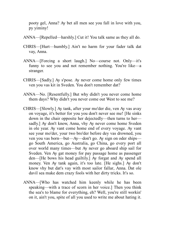pooty gel, Anna? Ay bet all men see you fall in love with you, py yiminy!

- ANNA—[Repelled—harshly.] Cut it! You talk same as they all do.
- CHRIS—[Hurt—humbly.] Ain't no harm for your fader talk dat vay, Anna.
- ANNA—[Forcing a short laugh.] No—course not. Only—it's funny to see you and not remember nothing. You're like—a stranger.
- CHRIS—[Sadly.] Ay s'pose. Ay never come home only few times ven you vas kit in Sveden. You don't remember dat?
- ANNA—No. [Resentfully.] But why didn't you never come home them days? Why didn't you never come out West to see me?
- CHRIS—[Slowly.] Ay tank, after your mo'der die, ven Ay vas avay on voyage, it's better for you you don't never see me! [He sinks down in the chair opposite her dejectedly—then turns to her sadly.] Ay don't know, Anna, vhy Ay never come home Sveden in ole year. Ay vant come home end of every voyage. Ay vant see your mo'der, your two bro'der before dey vas drowned, you ven you vas born—but—Ay—don't go. Ay sign on oder ships go South America, go Australia, go China, go every port all over world many times—but Ay never go aboard ship sail for Sveden. Ven Ay gat money for pay passage home as passenger den—[He bows his head guiltily.] Ay forgat and Ay spend all money. Ven Ay tank again, it's too late. [He sighs.] Ay don't know vhy but dat's vay with most sailor fallar, Anna. Dat ole davil sea make dem crazy fools with her dirty tricks. It's so.
- ANNA—[Who has watched him keenly while he has been speaking—with a trace of scorn in her voice.] Then you think the sea's to blame for everything, eh? Well, you're still workin' on it, ain't you, spite of all you used to write me about hating it.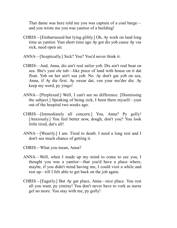That dame was here told me you was captain of a coal barge and you wrote me you was yanitor of a building!

- CHRIS—[Embarrassed but lying glibly.] Oh, Ay work on land long time as yanitor. Yust short time ago Ay got dis yob cause Ay vas sick, need open air.
- ANNA—[Sceptically.] Sick? You? You'd never think it.
- CHRIS—And, Anna, dis ain't real sailor yob. Dis ain't real boat on sea. She's yust ole tub—like piece of land with house on it dat float. Yob on her ain't sea yob. No. Ay don't gat yob on sea, Anna, if Ay die first. Ay swear dat, ven your mo'der die. Ay keep my word, py yingo!
- ANNA—[Perplexed.] Well, I can't see no difference. [Dismissing the subject.] Speaking of being sick, I been there myself—yust out of the hospital two weeks ago.
- CHRIS—[Immediately all concern.] You, Anna? Py golly! [Anxiously.] You feel better now, dough, don't you? You look little tired, dat's all!
- ANNA—[Wearily.] I am. Tired to death. I need a long rest and I don't see much chance of getting it.
- CHRIS—What you mean, Anna?
- ANNA—Well, when I made up my mind to come to see you, I thought you was a yanitor—that you'd have a place where, maybe, if you didn't mind having me, I could visit a while and rest up—till I felt able to get back on the job again.
- CHRIS—[Eagerly.] But Ay gat place, Anna—nice place. You rest all you want, py yiminy! You don't never have to vork as nurse gel no more. You stay with me, py golly!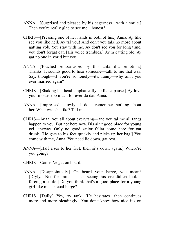- ANNA—[Surprised and pleased by his eagerness—with a smile.] Then you're really glad to see me—honest?
- CHRIS—[Pressing one of her hands in both of his.] Anna, Ay like see you like hell, Ay tal you! And don't you talk no more about gatting yob. You stay with me. Ay don't see you for long time, you don't forgat dat. [His voice trembles.] Ay'm gatting ole. Ay gat no one in vorld but you.
- ANNA—[Touched—embarrassed by this unfamiliar emotion.] Thanks. It sounds good to hear someone—talk to me that way. Say, though—if you're so lonely—it's funny—why ain't you ever married again?
- CHRIS—[Shaking his head emphatically—after a pause.] Ay love your mo'der too much for ever do dat, Anna.
- ANNA—[Impressed—slowly.] I don't remember nothing about her. What was she like? Tell me.
- CHRIS—Ay tal you all about everytang—and you tal me all tangs happen to you. But not here now. Dis ain't good place for young gel, anyway. Only no good sailor fallar come here for gat drunk. [He gets to his feet quickly and picks up her bag.] You come with me, Anna. You need lie down, gat rest.
- ANNA—[Half rises to her feet, then sits down again.] Where're you going?
- CHRIS—Come. Ve gat on board.
- ANNA—[Disappointedly.] On board your barge, you mean? [Dryly.] Nix for mine! [Then seeing his crestfallen look forcing a smile.] Do you think that's a good place for a young girl like me—a coal barge?
- CHRIS—[Dully.] Yes, Ay tank. [He hesitates—then continues more and more pleadingly.] You don't know how nice it's on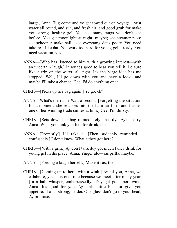barge, Anna. Tug come and ve gat towed out on voyage—yust water all round, and sun, and fresh air, and good grub for make you strong, healthy gel. You see many tangs you don't see before. You gat moonlight at night, maybe; see steamer pass; see schooner make sail—see everytang dat's pooty. You need take rest like dat. You work too hard for young gel already. You need vacation, yes!

- ANNA—[Who has listened to him with a growing interest—with an uncertain laugh.] It sounds good to hear you tell it. I'd sure like a trip on the water, all right. It's the barge idea has me stopped. Well, I'll go down with you and have a look—and maybe I'll take a chance. Gee, I'd do anything once.
- CHRIS—[Picks up her bag again.] Ye go, eh?
- ANNA—What's the rush? Wait a second. [Forgetting the situation for a moment, she relapses into the familiar form and flashes one of her winning trade smiles at him.] Gee, I'm thirsty.
- CHRIS—[Sets down her bag immediately—hastily.] Ay'm sorry, Anna. What you tank you like for drink, eh?
- ANNA—[Promptly.] I'll take a—[Then suddenly reminded confusedly.] I don't know. What'a they got here?
- CHRIS—[With a grin.] Ay don't tank dey got much fancy drink for young gel in dis place, Anna. Yinger ale—sas'prilla, maybe.
- ANNA—[Forcing a laugh herself.] Make it sas, then.
- CHRIS—[Coming up to her—with a wink.] Ay tal you, Anna, we calabrate, yes—dis one time because we meet after many year. [In a half whisper, embarrassedly.] Dey gat good port wine, Anna. It's good for you. Ay tank—little bit—for give you appetite. It ain't strong, neider. One glass don't go to your head, Ay promise.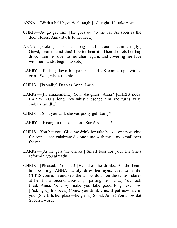- ANNA—[With a half hysterical laugh.] All right! I'll take port.
- CHRIS—Ay go gat him. [He goes out to the bar. As soon as the door closes, Anna starts to her feet.]
- ANNA—[Picking up her bag—half—aloud—stammeringly.] Gawd, I can't stand this! I better beat it. [Then she lets her bag drop, stumbles over to her chair again, and covering her face with her hands, begins to sob.]
- LARRY—[Putting down his paper as CHRIS comes up—with a grin.] Well, who's the blond?
- CHRIS—[Proudly.] Dat vas Anna, Larry.
- LARRY—[In amazement.] Your daughter, Anna? [CHRIS nods. LARRY lets a long, low whistle escape him and turns away embarrassedly.]
- CHRIS—Don't you tank she vas pooty gel, Larry?
- LARRY—[Rising to the occasion.] Sure! A peach!
- CHRIS—You bet you! Give me drink for take back—one port vine for Anna—she calabrate dis one time with me—and small beer for me.
- LARRY—[As he gets the drinks.] Small beer for you, eh? She's reformin' you already.
- CHRIS—[Pleased.] You bet! [He takes the drinks. As she hears him coming, ANNA hastily dries her eyes, tries to smile. CHRIS comes in and sets the drinks down on the table—stares at her for a second anxiously—patting her hand.] You look tired, Anna. Veil, Ay make you take good long rest now. [Picking up his beer.] Come, you drink vine. It put new life in you. [She lifts her glass—he grins.] Skoal, Anna! You know dat Svedish word?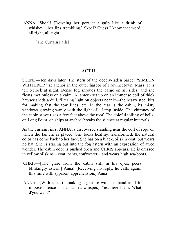ANNA—Skoal! [Downing her port at a gulp like a drink of whiskey—her lips trembling.] Skoal? Guess I know that word, all right, all right!

<span id="page-30-0"></span>[The Curtain Falls]

#### **ACT II**

SCENE—Ten days later. The stern of the deeply-laden barge, "SIMEON WINTHROP," at anchor in the outer harbor of Provincetown, Mass. It is ten o'clock at night. Dense fog shrouds the barge on all sides, and she floats motionless on a calm. A lantern set up on an immense coil of thick hawser sheds a dull, filtering light on objects near it—the heavy steel bits for making fast the tow lines, etc. In the rear is the cabin, its misty windows glowing wanly with the light of a lamp inside. The chimney of the cabin stove rises a few feet above the roof. The doleful tolling of bells, on Long Point, on ships at anchor, breaks the silence at regular intervals.

As the curtain rises, ANNA is discovered standing near the coil of rope on which the lantern is placed. She looks healthy, transformed, the natural color has come back to her face. She has on a black, oilskin coat, but wears no hat. She is staring out into the fog astern with an expression of awed wonder. The cabin door is pushed open and CHRIS appears. He is dressed in yellow oilskins—coat, pants, sou'wester—and wears high sea-boots.

- CHRIS—[The glare from the cabin still in his eyes, peers blinkmgly astern.] Anna! [Receiving no reply, he calls again, this time with apparent apprehension.] Anna!
- ANNA—[With a start—making a gesture with her hand as if to impose silence—in a hushed whisper.] Yes, here I am. What d'you want?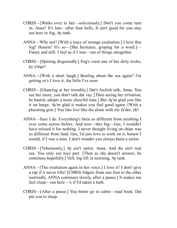- CHRIS—[Walks over to her—solicitously.] Don't you come turn in, Anna? It's late—after four bells. It ain't good for you stay out here in fog, Ay tank.
- ANNA—Why not? [With a trace of strange exultation.] I love this fog! Honest! It's so—[She hesitates, groping for a word.]— Funny and still. I feel as if I was—out of things altogether.
- CHRIS—[Spitting disgustedly.] Fog's vorst one of her dirty tricks, py yingo!
- ANNA—[With a short laugh.] Beefing about the sea again? I'm getting so's I love it, the little I've seen.
- CHRIS—[Glancing at her moodily.] Dat's foolish talk, Anna. You see her more, you don't talk dat vay. [Then seeing her irritation, he hastily adopts a more cheerful tone.] But Ay'm glad you like it on barge. Ay'm glad it makes you feel good again. [With a placating grin.] You like live like dis alone with ole fa'der, eh?
- ANNA—Sure I do. Everything's been so different from anything I ever come across before. And now—this fog—Gee, I wouldn't have missed it for nothing. I never thought living on ships was so different from land. Gee, I'd just love to work on it, honest I would, if I was a man. I don't wonder you always been a sailor.
- CHRIS—[Vehemently.] Ay ain't sailor, Anna. And dis ain't real sea. You only see nice part. [Then as she doesn't answer, he continues hopefully.] Vell, fog lift in morning, Ay tank.
- ANNA—[The exultation again in her voice.] I love it! I don't give a rap if it never lifts! [CHRIS fidgets from one foot to the other worriedly. ANNA continues slowly, after a pause.] It makes me feel clean—out here—'s if I'd taken a bath.
- CHRIS—[After a pause.] You better go in cabin—read book. Dat put you to sleep.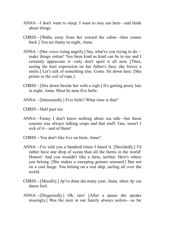- ANNA—I don't want to sleep. I want to stay out here—and think about things.
- CHRIS—[Walks away from her toward the cabin—then comes back.] You act funny to-night, Anna.
- ANNA—[Her voice rising angrily.] Say, what're you trying to do make things rotten? You been kind as kind can be to me and I certainly appreciate it—only don't spoil it all now. [Then, seeing the hurt expression on her father's face, she forces a smile.] Let's talk of something else. Come. Sit down here. [She points to the coil of rope.]
- CHRIS—[Sits down beside her with a sigh.] It's gatting pooty late in night, Anna. Must be near five bells.
- ANNA—[Interestedly.] Five bells? What time is that?
- CHRIS—Half past ten.
- ANNA—Funny I don't know nothing about sea talk—but those cousins was always talking crops and that stuff. Gee, wasn't I sick of it—and of them!
- CHRIS—You don't like live on farm, Anna?
- ANNA—I've told you a hundred times I hated it. [Decidedly.] I'd rather have one drop of ocean than all the farms in the world! Honest! And you wouldn't like a farm, neither. Here's where you belong. [She makes a sweeping gesture seaward.] But not on a coal barge. You belong on a real ship, sailing all over the world.
- CHRIS—[Moodily.] Ay've done dat many year, Anna, when Ay vas damn fool.
- ANNA—[Disgustedly.] Oh, rats! [After a pause she speaks musingly.] Was the men in our family always sailors—as far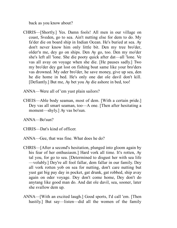back as you know about?

- CHRIS—[Shortly.] Yes. Damn fools! All men in our village on coast, Sveden, go to sea. Ain't nutting else for dem to do. My fa'der die on board ship in Indian Ocean. He's buried at sea. Ay don't never know him only little bit. Den my tree bro'der, older'n me, dey go on ships. Den Ay go, too. Den my mo'der she's left all 'lone. She die pooty quick after dat—all 'lone. Ve vas all avay on voyage when she die. [He pauses sadly.] Two my bro'der dey gat lost on fishing boat same like your bro'ders vas drowned. My oder bro'der, he save money, give up sea, den he die home in bed. He's only one dat ole davil don't kill. [Defiantly.] But me, Ay bet you Ay die ashore in bed, too!
- ANNA—Were all of 'em yust plain sailors?
- CHEIS—Able body seaman, most of dem. [With a certain pride.] Dey vas all smart seaman, too—A one. [Then after hesitating a moment—shyly.] Ay vas bo'sun.

ANNA—Bo'sun?

CHRIS—Dat's kind of officer.

- ANNA—Gee, that was fine. What does he do?
- CHRIS—[After a second's hesitation, plunged into gloom again by his fear of her enthusiasm.] Hard vork all time. It's rotten, Ay tal you, for go to sea. [Determined to disgust her with sea life —volubly.] Dey're all fool fallar, dem fallar in our family. Dey all vork rotten yob on sea for nutting, don't care nutting but yust gat big pay day in pocket, gat drunk, gat robbed, ship avay again on oder voyage. Dey don't come home, Dey don't do anytang like good man do. And dat ole davil, sea, sooner, later she svallow dem up.
- ANNA—[With an excited laugh.] Good sports, I'd call 'em. [Then hastily.] But say—listen—did all the women of the family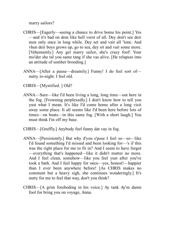marry sailors?

- CHRIS—[Eagerly—seeing a chance to drive home his point.] Yes —and it's bad on dem like hell vorst of all. Dey don't see deir men only once in long while. Dey set and vait all 'lone. And vhen deir boys grows up, go to sea, dey sit and vait some more. [Vehemently.] Any gel marry sailor, she's crazy fool! Your mo'der she tal you same tang if she vas alive. [He relapses into an attitude of somber brooding.]
- ANNA—[After a pause—dreamily.] Funny! I do feel sort of nutty, to-night. I feel old.
- CHRIS—[Mystified. ] Old?
- ANNA—Sure—like I'd been living a long, long time—out here in the fog. [Frowning perplexedly.] I don't know how to tell you yust what I mean. It's like I'd come home after a long visit away some place. It all seems like I'd been here before lots of times—on boats—in this same fog. [With a short laugh.] You must think I'm off my base.
- CHRIS—[Gruffly.] Anybody feel funny dat vay in fog.
- ANNA—[Persistently.] But why d'you s'pose I feel so—so—like I'd found something I'd missed and been looking for—'s if this was the right place for me to fit in? And I seem to have forgot —everything that's happened—like it didn't matter no more. And I feel clean, somehow—like you feel yust after you've took a bath. And I feel happy for once—yes, honest!—happier than I ever been anywhere before! [As CHRIS makes no comment but a heavy sigh, she continues wonderingly.] It's nutty for me to feel that way, don't you think?
- CHRIS—[A grim foreboding in his voice.] Ay tank Ay'm damn fool for bring you on voyage, Anna.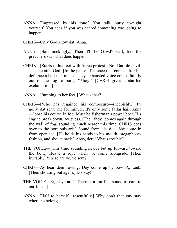- ANNA—[Impressed by his tone.] You talk—nutty to-night yourself. You act's if you was scared something was going to happen.
- CHRIS—Only God know dat, Anna.
- ANNA—[Half-mockingly.] Then it'll be Gawd's will, like the preachers say-what does happen.
- CHRIS—[Starts to his feet with fierce protest.] No! Dat ole davil, sea, she ain't God! [In the pause of silence that comes after his defiance a hail in a man's husky, exhausted voice comes faintly out of the fog to port.] "Ahoy!" [CHRIS gives a startled exclamation.]
- ANNA—[Jumping to her feet.] What's that?
- CHRIS—[Who has regained his composure—sheepishly.] Py golly, dat scare me for minute. It's only some fallar hail, Anna —loose his course in fog. Must be fisherman's power boat. His engine break down, Ay guess. [The "ahoy" comes again through the wall of fog, sounding much nearer this time. CHRIS goes over to the port bulwark.] Sound from dis side. She come in from open sea. [He holds his hands to his mouth, megaphonefashion, and shouts back.] Ahoy, dere! Vhat's trouble?
- THE VOICE—[This time sounding nearer but up forward toward the bow.] Heave a rope when we come alongside. [Then irritably.] Where are ye, ye scut?
- CHRIS—Ay hear dem rowing. Dey come up by bow, Ay tank. [Then shouting out again.] Dis vay!
- THE VOICE—Right ye are! [There is a muffled sound of oars in oar-locks.]
- ANNA—[Half to herself—resentfully.] Why don't that guy stay where he belongs?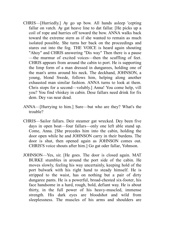- CHRIS—[Hurriedly.] Ay go up bow. All hands asleep 'cepting fallar on vatch. Ay gat heave line to dat fallar. [He picks up a coil of rope and hurries off toward the bow. ANNA walks back toward the extreme stern as if she wanted to remain as much isolated possible. She turns her back on the proceedings and stares out into the fog. THE VOICE is heard again shouting "Ahoy" and CHRIS answering "Dis way" Then there is a pause —the murmur of excited voices—then the scuffling of feet. CHRIS appears from around the cabin to port. He is supporting the limp form of a man dressed in dungarees, holding one of the man's arms around his neck. The deckhand, JOHNSON, a young, blond Swede, follows him, helping along another exhausted man similar fashion. ANNA turns to look at them. Chris stops for a second—volubly.] Anna! You come help, vill you? You find vhiskey in cabin. Dese fallars need drink for fix dem. Dey vas near dead.
- ANNA—[Hurrying to him.] Sure—but who are they? What's the trouble?
- CHRIS—Sailor fallars. Deir steamer gat wrecked. Dey been five days in open boat—four fallars—only one left able stand up. Come, Anna. [She precedes him into the cabin, holding the door open while he and JOHNSON carry in their burdens. The door is shut, then opened again as JOHNSON comes out. CHRIS'S voice shouts after him.] Go gat oder fallar, Yohnson.
- JOHNSON—Yes, sir. [He goes. The door is closed again. MAT BURKE stumbles in around the port side of the cabin. He moves slowly, feeling his way uncertainly, keeping hold of the port bulwark with his right hand to steady himself. He is stripped to the waist, has on nothing but a pair of dirty dungaree pants. He is a powerful, broad-chested six-footer, his face handsome in a hard, rough, bold, defiant way. He is about thirty, in the full power of his heavy-muscled, immense strength. His dark eyes are bloodshot and wild from sleeplessness. The muscles of his arms and shoulders are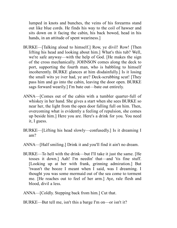lumped in knots and bunches, the veins of his forearms stand out like blue cords. He finds his way to the coil of hawser and sits down on it facing the cabin, his back bowed, head in his hands, in an attitude of spent weariness.

- BURKE—[Talking aloud to himself.] Row, ye divil! Row! [Then lifting his head and looking about him.] What's this tub? Well, we're safe anyway—with the help of God. [He makes the sign of the cross mechanically. JOHNSON comes along the deck to port, supporting the fourth man, who is babbling to himself incoherently. BURKE glances at him disdainfully.] Is it losing the small wits ye iver had, ye are? Deck-scrubbing scut! [They pass him and go into the cabin, leaving the door open. BURKE sags forward wearily.] I'm bate out—bate out entirely.
- ANNA—[Comes out of the cabin with a tumbler quarter-full of whiskey in her hand. She gives a start when she sees BURKE so near her, the light from the open door falling full on him. Then, overcoming what is evidently a feeling of repulsion, she comes up beside him.] Here you are. Here's a drink for you. You need it, I guess.
- BURKE—[Lifting his head slowly—confusedly.] Is it dreaming I am?
- ANNA—[Half smiling.] Drink it and you'll find it ain't no dream.
- BURKE—To hell with the drink—but I'll take it just the same. [He tosses it down.] Aah! I'm needin' that—and 'tis fine stuff. [Looking up at her with frank, grinning admiration.] But 'twasn't the booze I meant when I said, was I dreaming. I thought you was some mermaid out of the sea come to torment me. [He reaches out to feel of her arm.] Aye, rale flesh and blood, divil a less.
- ANNA—[Coldly. Stepping back from him.] Cut that.
- BURKE—But tell me, isn't this a barge I'm on—or isn't it?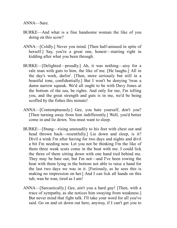ANNA—Sure.

- BURKE—And what is a fine handsome woman the like of you doing on this scow?
- ANNA—[Coldly.] Never you mind. [Then half-amused in spite of herself.] Say, you're a great one, honest—starting right in kidding after what you been through.
- BURKE—[Delighted—proudly.] Ah, it was nothing—aisy for a rale man with guts to him, the like of me. [He laughs.] All in the day's work, darlin'. [Then, more seriously but still in a boastful tone, confidentially.] But I won't be denying 'twas a damn narrow squeak. We'd all ought to be with Davy Jones at the bottom of the sea, be rights. And only for me, I'm telling you, and the great strength and guts is in me, we'd be being scoffed by the fishes this minute!
- ANNA—[Contemptuously.] Gee, you hate yourself, don't you? [Then turning away from him indifferently.] Well, you'd better come in and lie down. You must want to sleep.
- BURKE—[Stung—rising unsteadily to his feet with chest out and head thrown back—resentfully.] Lie down and sleep, is it? Divil a wink I'm after having for two days and nights and divil a bit I'm needing now. Let you not be thinking I'm the like of them three weak scuts come in the boat with me. I could lick the three of them sitting down with one hand tied behind me. They may be bate out, but I'm not—and I've been rowing the boat with them lying in the bottom not able to raise a hand for the last two days we was in it. [Furiously, as he sees this is making no impression on her.] And I can lick all hands on this tub, wan be wan, tired as I am!
- ANNA—[Sarcastically.] Gee, ain't you a hard guy! [Then, with a trace of sympathy, as she notices him swaying from weakness.] But never mind that fight talk. I'll take your word for all you've said. Go on and sit down out here, anyway, if I can't get you to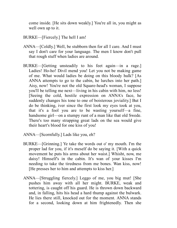come inside. [He sits down weakly.] You're all in, you might as well own up to it.

- BURKE—[Fiercely.] The hell I am!
- ANNA—[Coldly.] Well, be stubborn then for all I care. And I must say I don't care for your language. The men I know don't pull that rough stuff when ladies are around.
- BURKE—[Getting unsteadily to his feet again—in a rage.] Ladies! Ho-ho! Divil mend you! Let you not be making game of me. What would ladies be doing on this bloody hulk? [As ANNA attempts to go to the cabin, he lurches into her path.] Aisy, now! You're not the old Square-head's woman, I suppose you'll be telling me next—living in his cabin with him, no less! [Seeing the cold, hostile expression on ANNA's face, he suddenly changes his tone to one of boisterous joviality.] But I do be thinking, iver since the first look my eyes took at you, that it's a fool you are to be wasting yourself—a fine, handsome girl—on a stumpy runt of a man like that old Swede. There's too many strapping great lads on the sea would give their heart's blood for one kiss of you!
- ANNA—[Scornfully.] Lads like you, eh?
- BURKE—[Grinning.] Ye take the words out o' my mouth. I'm the proper lad for you, if it's meself do be saying it. [With a quick movement he puts his arms about her waist.] Whisht, now, me daisy! Himself's in the cabin. It's wan of your kisses I'm needing to take the tiredness from me bones. Wan kiss, now! [He presses her to him and attempts to kiss her.]
- ANNA—[Struggling fiercely.] Leggo of me, you big mut! [She pushes him away with all her might. BURKE, weak and tottering, is caught off his guard. He is thrown down backward and, in falling, hits his head a hard thump against the bulwark. He lies there still, knocked out for the moment. ANNA stands for a second, looking down at him frightenedly. Then she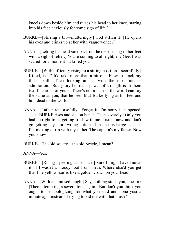kneels down beside him and raises his head to her knee, staring into his face anxiously for some sign of life.]

- BURKE—[Stirring a bit—mutteringly.] God stiffen it! [He opens his eyes and blinks up at her with vague wonder.]
- ANNA—[Letting his head sink back on the deck, rising to her feet with a sigh of relief.] You're coming to all right, eh? Gee, I was scared for a moment I'd killed you.
- BURKE—[With difficulty rising to a sitting position—scornfully.] Killed, is it? It'd take more than a bit of a blow to crack my thick skull. [Then looking at her with the most intense admiration.] But, glory be, it's a power of strength is in them two fine arms of yours. There's not a man in the world can say the same as you, that he seen Mat Burke lying at his feet and him dead to the world.
- ANNA—[Rather remorsefully.] Forget it. I'm sorry it happened, see? [BURKE rises and sits on bench. Then severely.] Only you had no right to be getting fresh with me. Listen, now, and don't go getting any more wrong notions. I'm on this barge because I'm making a trip with my father. The captain's my father. Now you know.
- BURKE—The old square—the old Swede, I mean?
- ANNA—Yes.
- BURKE—[Rising—peering at her face.] Sure I might have known it, if I wasn't a bloody fool from birth. Where else'd you get that fine yellow hair is like a golden crown on your head.
- ANNA—[With an amused laugh.] Say, nothing stops you, does it? [Then attempting a severe tone again.] But don't you think you ought to be apologizing for what you said and done yust a minute ago, instead of trying to kid me with that mush?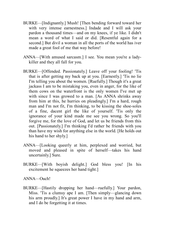- BURKE—[Indignantly.] Mush! [Then bending forward toward her with very intense earnestness.] Indade and I will ask your pardon a thousand times—and on my knees, if ye like. I didn't mean a word of what I said or did. [Resentful again for a second.] But divil a woman in all the ports of the world has iver made a great fool of me that way before!
- ANNA—[With amused sarcasm.] I see. You mean you're a ladykiller and they all fall for you.
- BURKE—[Offended. Passionately.] Leave off your fooling! 'Tis that is after getting my back up at you. [Earnestly.] 'Tis no lie I'm telling you about the women. [Ruefully.] Though it's a great jackass I am to be mistaking you, even in anger, for the like of them cows on the waterfront is the only women I've met up with since I was growed to a man. [As ANNA shrinks away from him at this, he hurries on pleadingly.] I'm a hard, rough man and I'm not fit, I'm thinking, to be kissing the shoe-soles of a fine, dacent girl the like of yourself. 'Tis only the ignorance of your kind made me see you wrong. So you'll forgive me, for the love of God, and let us be friends from this out. [Passionately.] I'm thinking I'd rather be friends with you than have my wish for anything else in the world. [He holds out his hand to her shyly.]
- ANNA—[Looking queerly at him, perplexed and worried, but moved and pleased in spite of herself—takes his hand uncertainly.] Sure.
- BURKE—[With boyish delight.] God bless you! [In his excitement he squeezes her hand tight.]

ANNA—Ouch!

BURKE—[Hastily dropping her hand—ruefully.] Your pardon, Miss. 'Tis a clumsy ape I am. [Then simply—glancing down his arm proudly.] It's great power I have in my hand and arm, and I do be forgetting it at times.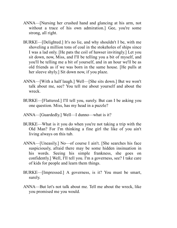- ANNA—[Nursing her crushed hand and glancing at his arm, not without a trace of his own admiration.] Gee, you're some strong, all right.
- BURKE—[Delighted.] It's no lie, and why shouldn't I be, with me shoveling a million tons of coal in the stokeholes of ships since I was a lad only. [He pats the coil of hawser invitingly.] Let you sit down, now, Miss, and I'll be telling you a bit of myself, and you'll be telling me a bit of yourself, and in an hour we'll be as old friends as if we was born in the same house. [He pulls at her sleeve shyly.] Sit down now, if you plaze.
- ANNA—[With a half laugh.] Well—[She sits down.] But we won't talk about me, see? You tell me about yourself and about the wreck.
- BURKE—[Flattered.] I'll tell you, surely. But can I be asking you one question. Miss, has my head in a puzzle?
- ANNA—[Guardedly.] Well—I dunno—what is it?
- BURKE—What is it you do when you're not taking a trip with the Old Man? For I'm thinking a fine girl the like of you ain't living always on this tub.
- ANNA—[Uneasily.] No—of course I ain't. [She searches his face suspiciously, afraid there may be some hidden insinuation in his words. Seeing his simple frankness, she goes on confidently.] Well, I'll tell you. I'm a governess, see? I take care of kids for people and learn them things.
- BURKE—[Impressed.] A governess, is it? You must be smart, surely.
- ANNA—But let's not talk about me. Tell me about the wreck, like you promised me you would.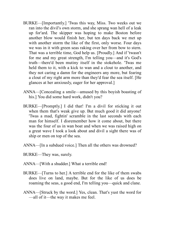- BURKE—[Importantly.] 'Twas this way, Miss. Two weeks out we ran into the divil's own storm, and she sprang wan hell of a leak up for'ard. The skipper was hoping to make Boston before another blow would finish her, but ten days back we met up with another storm the like of the first, only worse. Four days we was in it with green seas raking over her from bow to stern. That was a terrible time, God help us. [Proudly.] And if 'twasn't for me and my great strength, I'm telling you—and it's God's truth—there'd been mutiny itself in the stokehole. 'Twas me held them to it, with a kick to wan and a clout to another, and they not caring a damn for the engineers any more, but fearing a clout of my right arm more than they'd fear the sea itself. [He glances at her anxiously, eager for her approval.]
- ANNA—[Concealing a smile—amused by this boyish boasting of his.] You did some hard work, didn't you?
- BURKE—[Promptly.] I did that! I'm a divil for sticking it out when them that's weak give up. But much good it did anyone! 'Twas a mad, fightin' scramble in the last seconds with each man for himself. I disremember how it come about, but there was the four of us in wan boat and when we was raised high on a great wave I took a look about and divil a sight there was of ship or men on top of the sea.
- ANNA—[In a subdued voice.] Then all the others was drowned?
- BURKE—They was, surely.
- ANNA—[With a shudder.] What a terrible end!
- BURKE—[Turns to her.] A terrible end for the like of them swabs does live on land, maybe. But for the like of us does be roaming the seas, a good end, I'm telling you—quick and clane.
- ANNA—[Struck by the word.] Yes, clean. That's yust the word for —all of it—the way it makes me feel.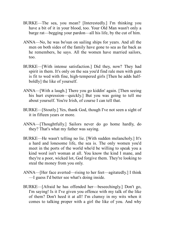- BURKE—The sea, you mean? [Interestedly.] I'm thinking you have a bit of it in your blood, too. Your Old Man wasn't only a barge rat—begging your pardon—all his life, by the cut of him.
- ANNA—No, he was bo'sun on sailing ships for years. And all the men on both sides of the family have gone to sea as far back as he remembers, he says. All the women have married sailors, too.
- BURKE—[With intense satisfaction.] Did they, now? They had spirit in them. It's only on the sea you'd find rale men with guts is fit to wed with fine, high-tempered girls [Then he adds halfboldly] the like of yourself.
- ANNA—[With a laugh.] There you go kiddin' again. [Then seeing his hurt expression—quickly.] But you was going to tell me about yourself. You're Irish, of course I can tell that.
- BURKE—[Stoutly.] Yes, thank God, though I've not seen a sight of it in fifteen years or more.
- ANNA—[Thoughtfully.] Sailors never do go home hardly, do they? That's what my father was saying.
- BURKE—He wasn't telling no lie. [With sudden melancholy.] It's a hard and lonesome life, the sea is. The only women you'd meet in the ports of the world who'd be willing to speak you a kind word isn't woman at all. You know the kind I mane, and they're a poor, wicked lot, God forgive them. They're looking to steal the money from you only.
- ANNA—[Her face averted—rising to her feet—agitatedly.] I think —I guess I'd better see what's doing inside.
- BURKE—[Afraid he has offended her—beseechingly.] Don't go, I'm saying! Is it I've given you offence with my talk of the like of them? Don't heed it at all! I'm clumsy in my wits when it comes to talking proper with a girl the like of you. And why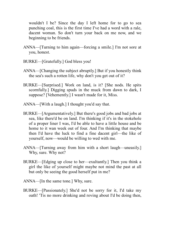wouldn't I be? Since the day I left home for to go to sea punching coal, this is the first time I've had a word with a rale, dacent woman. So don't turn your back on me now, and we beginning to be friends.

- ANNA—[Turning to him again—forcing a smile.] I'm not sore at you, honest.
- BURKE—[Gratefully.] God bless you!
- ANNA—[Changing the subject abruptly.] But if you honestly think the sea's such a rotten life, why don't you get out of it?
- BURKE—[Surprised.] Work on land, is it? [She nods. He spits scornfully.] Digging spuds in the muck from dawn to dark, I suppose? [Vehemently.] I wasn't made for it, Miss.
- ANNA—[With a laugh.] I thought you'd say that.
- BURKE—[Argumentatively.] But there's good jobs and bad jobs at sea, like there'd be on land. I'm thinking if it's in the stokehole of a proper liner I was, I'd be able to have a little house and be home to it wan week out of four. And I'm thinking that maybe then I'd have the luck to find a fine dacent girl—the like of yourself, now—would be willing to wed with me.
- ANNA—[Turning away from him with a short laugh—uneasily.] Why, sure. Why not?
- BURKE—[Edging up close to her—exultantly.] Then you think a girl the like of yourself might maybe not mind the past at all but only be seeing the good herself put in me?
- ANNA—[In the same tone.] Why, sure.
- BURKE—[Passionately.] She'd not be sorry for it, I'd take my oath! 'Tis no more drinking and roving about I'd be doing then,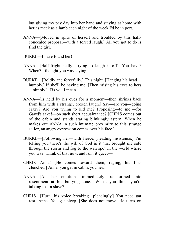but giving my pay day into her hand and staying at home with her as meek as a lamb each night of the week I'd be in port.

- ANNA—[Moved in spite of herself and troubled by this halfconcealed proposal—with a forced laugh.] All you got to do is find the girl.
- BURKE—I have found her!
- ANNA—[Half-frightenedly—trying to laugh it off.] You have? When? I thought you was saying—
- BURKE—[Boldly and forcefully.] This night. [Hanging his head humbly.] If she'll be having me. [Then raising his eyes to hers —simply.] 'Tis you I mean.
- ANNA—[Is held by his eyes for a moment—then shrinks back from him with a strange, broken laugh.] Say—are you—going crazy? Are you trying to kid me? Proposing—to me!—for Gawd's sake!—on such short acquaintance? [CHRIS comes out of the cabin and stands staring blinkingly astern. When he makes out ANNA in such intimate proximity to this strange sailor, an angry expression comes over his face.]
- BURKE—[Following her—with fierce, pleading insistence.] I'm telling you there's the will of God in it that brought me safe through the storm and fog to the wan spot in the world where you was! Think of that now, and isn't it queer—
- CHRIS—Anna! [He comes toward them, raging, his fists clenched.] Anna, you gat in cabin, you hear!
- ANNA—[All her emotions immediately transformed into resentment at his bullying tone.] Who d'you think you're talking to—a slave?
- CHRIS—[Hurt—his voice breaking—pleadingly.] You need gat rest, Anna. You gat sleep. [She does not move. He turns on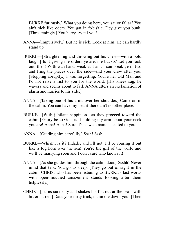BURKE furiously.] What you doing here, you sailor fallar? You ain't sick like oders. You gat in fo'c's'tle. Dey give you bunk. [Threateningly.] You hurry, Ay tal you!

- ANNA—[Impulsively.] But he is sick. Look at him. He can hardly stand up.
- BURKE—[Straightening and throwing out his chest—with a bold laugh.] Is it giving me orders ye are, me bucko? Let you look out, then! With wan hand, weak as I am, I can break ye in two and fling the pieces over the side—and your crew after you. [Stopping abruptly.] I was forgetting. You're her Old Man and I'd not raise a fist to you for the world. [His knees sag, he wavers and seems about to fall. ANNA utters an exclamation of alarm and hurries to his slde.]
- ANNA—[Taking one of his arms over her shoulder.] Come on in the cabin. You can have my bed if there ain't no other place.
- BURKE—[With jubilant happiness—as they proceed toward the cabin.] Glory be to God, is it holding my arm about your neck you are! Anna! Anna! Sure it's a sweet name is suited to you.
- ANNA—[Guiding him carefully.] Sssh! Sssh!
- BURKE—Whisht, is it? Indade, and I'll not. I'll be roaring it out like a fog horn over the sea! You're the girl of the world and we'll be marrying soon and I don't care who knows it!
- ANNA—[As she guides him through the cabin door.] Ssshh! Never mind that talk. You go to sleep. [They go out of sight in the cabin. CHRIS, who has been listening to BURKE's last words with open-mouthed amazement stands looking after them helplessly.]
- CHRIS—[Turns suddenly and shakes his fist out at the sea—with bitter hatred.] Dat's your dirty trick, damn ole davil, you! [Then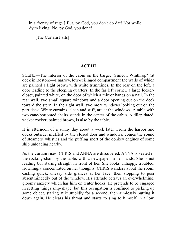in a frenzy of rage.] But, py God, you don't do dat! Not while Ay'm living! No, py God, you don't!

[The Curtain Falls]

## **ACT III**

SCENE—The interior of the cabin on the barge, "Simeon Winthrop" (at dock in Boston)—a narrow, low-ceilinged compartment the walls of which are painted a light brown with white trimmings. In the rear on the left, a door leading to the sleeping quarters. In the far left corner, a large lockercloset, painted white, on the door of which a mirror hangs on a nail. In the rear wall, two small square windows and a door opening out on the deck toward the stern. In the right wall, two more windows looking out on the port deck. White curtains, clean and stiff, are at the windows. A table with two cane-bottomed chairs stands in the center of the cabin. A dilapidated, wicker rocker, painted brown, is also by the table.

It is afternoon of a sunny day about a week later. From the harbor and docks outside, muffled by the closed door and windows, comes the sound of steamers' whistles and the puffing snort of the donkey engines of some ship unloading nearby.

As the curtain rises, CHRIS and ANNA are discovered. ANNA is seated in the rocking-chair by the table, with a newspaper in her hands. She is not reading but staring straight in front of her. She looks unhappy, troubled, frowningly concentrated on her thoughts. CHRIS wanders about the room, casting quick, uneasy side glances at her face, then stopping to peer absentmindedly out of the window. His attitude betrays an overwhelming, gloomy anxiety which has him on tenter hooks. He pretends to be engaged in setting things ship-shape, but this occupation is confined to picking up some object, staring at it stupidly for a second, then aimlessly putting it down again. He clears his throat and starts to sing to himself in a low,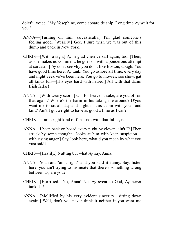doleful voice: "My Yosephine, come aboard de ship. Long time Ay wait for you."

- ANNA—[Turning on him, sarcastically.] I'm glad someone's feeling good. [Wearily.] Gee, I sure wish we was out of this dump and back in New York.
- CHRIS—[With a sigh.] Ay'm glad vhen ve sail again, too. [Then, as she makes no comment, he goes on with a ponderous attempt at sarcasm.] Ay don't see vhy you don't like Boston, dough. You have good time here, Ay tank. You go ashore all time, every day and night veek ve've been here. You go to movies, see show, gat all kinds fun—[His eyes hard with hatred.] All with that damn Irish fallar!
- ANNA—[With weary scorn.] Oh, for heaven's sake, are you off on that again? Where's the harm in his taking me around? D'you want me to sit all day and night in this cabin with you—and knit? Ain't I got a right to have as good a time as I can?
- CHRIS—It ain't right kind of fun—not with that fallar, no.
- ANNA—I been back on board every night by eleven, ain't I? [Then struck by some thought—looks at him with keen suspicion with rising anger.] Say, look here, what d'you mean by what you yust said?
- CHRIS—[Hastily.] Nutting but what Ay say, Anna.
- ANNA—You said "ain't right" and you said it funny. Say, listen here, you ain't trying to insinuate that there's something wrong between us, are you?
- CHRIS—[Horrified.] No, Anna! No, Ay svear to God, Ay never tank dat!
- ANNA—[Mollified by his very evident sincerity—sitting down again.] Well, don't you never think it neither if you want me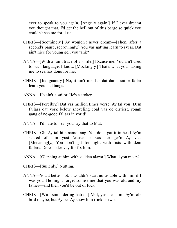ever to speak to you again. [Angrily again.] If I ever dreamt you thought that, I'd get the hell out of this barge so quick you couldn't see me for dust.

- CHRIS—[Soothingly.] Ay wouldn't never dream—[Then, after a second's pause, reprovingly.] You vas gatting learn to svear. Dat ain't nice for young gel, you tank?
- ANNA—[With a faint trace of a smile.] Excuse me. You ain't used to such language, I know. [Mockingly.] That's what your taking me to sea has done for me.
- CHRIS—[Indignantly.] No, it ain't me. It's dat damn sailor fallar learn you bad tangs.
- ANNA—He ain't a sailor. He's a stoker.
- CHRIS—[Forcibly.] Dat vas million times vorse, Ay tal you! Dem fallars dat vork below shoveling coal vas de dirtiest, rough gang of no-good fallars in vorld!
- ANNA—I'd hate to hear you say that to Mat.
- CHRIS—Oh, Ay tal him same tang. You don't gat it in head Ay'm scared of him yust 'cause he vas stronger'n Ay vas. [Menacingly.] You don't gat for fight with fists with dem fallars. Dere's oder vay for fix him.
- ANNA—[Glancing at him with sudden alarm.] What d'you mean?
- CHRIS—[Sullenly.] Nutting.
- ANNA—You'd better not. I wouldn't start no trouble with him if I was you. He might forget some time that you was old and my father—and then you'd be out of luck.
- CHRIS—[With smouldering hatred.] Vell, yust let him! Ay'm ole bird maybe, but Ay bet Ay show him trick or two.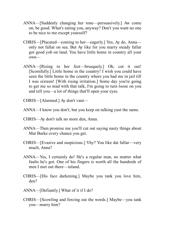- ANNA—[Suddenly changing her tone—persuasively.] Aw come on, be good. What's eating you, anyway? Don't you want no one to be nice to me except yourself?
- CHRIS—[Placated—coming to her—eagerly.] Yes, Ay do, Anna only not fallar on sea. But Ay like for you marry steady fallar got good yob on land. You have little home in country all your own—
- ANNA—[Rising to her feet—brusquely.] Oh, cut it out! [Scornfully.] Little home in the country! I wish you could have seen the little home in the country where you had me in jail till I was sixteen! [With rising irritation.] Some day you're going to get me so mad with that talk, I'm going to turn loose on you and tell you—a lot of things that'll open your eyes.
- CHRIS—[Alarmed.] Ay don't vant—
- ANNA—I know you don't; but you keep on talking yust the same.
- CHRIS—Ay don't talk no more den, Anna.
- ANNA—Then promise me you'll cut out saying nasty things about Mat Burke every chance you get.
- CHRIS—[Evasive and suspicious.] Vhy? You like dat fallar—very much, Anna?
- ANNA—Yes, I certainly do! He's a regular man, no matter what faults he's got. One of his fingers is worth all the hundreds of men I met out there—inland.
- CHRIS—[His face darkening.] Maybe you tank you love him, den?
- ANNA—[Defiantly.] What of it if I do?
- CHRIS—[Scowling and forcing out the words.] Maybe—you tank you—marry him?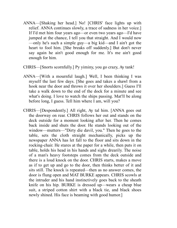- ANNA—[Shaking her head.] No! [CHRIS' face lights up with relief. ANNA continues slowly, a trace of sadness in her voice.] If I'd met him four years ago—or even two years ago—I'd have jumped at the chance, I tell you that straight. And I would now —only he's such a simple guy—a big kid—and I ain't got the heart to fool him. [She breaks off suddenly.] But don't never say again he ain't good enough for me. It's me ain't good enough for him.
- CHRIS—[Snorts scornfully.] Py yiminy, you go crazy, Ay tank!
- ANNA—[With a mournful laugh.] Well, I been thinking I was myself the last few days. [She goes and takes a shawl from a hook near the door and throws it over her shoulders.] Guess I'll take a walk down to the end of the dock for a minute and see what's doing. I love to watch the ships passing. Mat'll be along before long, I guess. Tell him where I am, will you?
- CHRIS—[Despondently.] All right, Ay tal him. [ANNA goes out the doorway on rear. CHRIS follows her out and stands on the deck outside for a moment looking after her. Then he comes back inside and shuts the door. He stands looking out of the window—mutters—"Dirty die davil, you." Then he goes to the table, sets the cloth straight mechanically, picks up the newspaper ANNA has let fall to the floor and sits down in the rocking-chair. He stares at the paper for a while, then puts it on table, holds his head in his hands and sighs drearily. The noise of a man's heavy footsteps comes from the deck outside and there is a loud knock on the door. CHRIS starts, makes a move as if to get up and go to the door, then thinks better of it and sits still. The knock is repeated—then as no answer comes, the door is flung open and MAT BURKE appears. CHRIS scowls at the intruder and his hand instinctively goes back to the sheath knife on his hip. BURKE is dressed up—wears a cheap blue suit, a striped cotton shirt with a black tie, and black shoes newly shined. His face is beaming with good humor.]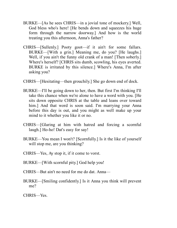- BURKE—[As he sees CHRIS—in a jovial tone of mockery.] Well, God bless who's here! [He bends down and squeezes his huge form through the narrow doorway.] And how is the world treating you this afternoon, Anna's father?
- CHRIS—[Sullenly.] Pooty goot—if it ain't for some fallars. BURKE—[With a grin.] Meaning me, do you? [He laughs.] Well, if you ain't the funny old crank of a man! [Then soberly.] Where's herself? [CHRIS sits dumb, scowling, his eyes averted. BURKE is irritated by this silence.] Where's Anna, I'm after asking you?
- CHRIS—[Hesitating—then grouchily.] She go down end of dock.
- BURKE—I'll be going down to her, then. But first I'm thinking I'll take this chance when we're alone to have a word with you. [He sits down opposite CHRIS at the table and leans over toward him.] And that word is soon said. I'm marrying your Anna before this day is out, and you might as well make up your mind to it whether you like it or no.
- CHRIS—[Glaring at him with hatred and forcing a scornful laugh.] Ho-ho! Dat's easy for say!
- BURKE—You mean I won't? [Scornfully.] Is it the like of yourself will stop me, are you thinking?
- CHRIS—Yes, Ay stop it, if it come to vorst.
- BURKE—[With scornful pity.] God help you!
- CHRIS—But ain't no need for me do dat. Anna—
- BURKE—[Smiling confidently.] Is it Anna you think will prevent me?
- CHRIS—Yes.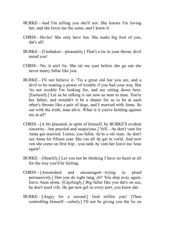- BURKE—And I'm telling you she'll not. She knows I'm loving her, and she loves me the same, and I know it.
- CHRIS—Ho-ho! She only have fun. She make big fool of you, dat's all!
- BURKE—[Unshaken—pleasantly.] That's a lie in your throat, divil mend you!
- CHRIS—No, it ain't lie. She tal me yust before she go out she never marry fallar like you.
- BURKE—I'll not believe it. 'Tis a great old liar you are, and a divil to be making a power of trouble if you had your way. But 'tis not trouble I'm looking for, and me sitting down here. [Earnestly.] Let us be talking it out now as man to man. You're her father, and wouldn't it be a shame for us to be at each other's throats like a pair of dogs, and I married with Anna. So out with the truth, man alive. What is it you're holding against me at all?
- CHRIS—[A bit placated, in spite of himself, by BURKE'S evident sincerity—but puzzled and suspicious.] Vell—Ay don't vant for Anna gat married. Listen, you fallar. Ay'm a ole man. Ay don't see Anna for fifteen year. She vas all Ay gat in vorld. And now ven she come on first trip—you tank Ay vant her leave me 'lone again?
- BURKE—[Heartily.] Let you not be thinking I have no heart at all for the way you'd be feeling.
- CHRIS—[Astonished and encouraged—trying to plead persuasively.] Den you do right tang, eh? You ship avay again, leave Anna alone. [Cajolingly.] Big fallar like you dat's on sea, he don't need vife. He gat new gel in every port, you know dat.
- BURKE—[Angry for a second.] God stiffen you! [Then controlling himself—calmly.] I'll not be giving you the lie on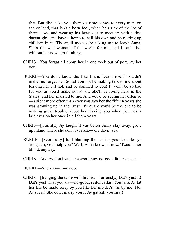that. But divil take you, there's a time comes to every man, on sea or land, that isn't a born fool, when he's sick of the lot of them cows, and wearing his heart out to meet up with a fine dacent girl, and have a home to call his own and be rearing up children in it. 'Tis small use you're asking me to leave Anna. She's the wan woman of the world for me, and I can't live without her now, I'm thinking.

- CHRIS—You forgat all about her in one veek out of port, Ay bet you!
- BURKE—You don't know the like I am. Death itself wouldn't make me forget her. So let you not be making talk to me about leaving her. I'll not, and be damned to you! It won't be so bad for you as you'd make out at all. She'll be living here in the States, and her married to me. And you'd be seeing her often so —a sight more often than ever you saw her the fifteen years she was growing up in the West. It's quare you'd be the one to be making great trouble about her leaving you when you never laid eyes on her once in all them years.
- CHRIS—[Guiltily.] Ay taught it vas better Anna stay avay, grow up inland where she don't ever know ole davil, sea.
- BURKE—[Scornfully.] Is it blaming the sea for your troubles ye are again, God help you? Well, Anna knows it now. 'Twas in her blood, anyway.
- CHRIS—And Ay don't vant she ever know no-good fallar on sea—
- BURKE—She knows one now.
- CHRIS—[Banging the table with his fist—furiously.] Dat's yust it! Dat's yust what you are—no-good, sailor fallar! You tank Ay lat her life be made sorry by you like her mo'der's vas by me! No, Ay svear! She don't marry you if Ay gat kill you first!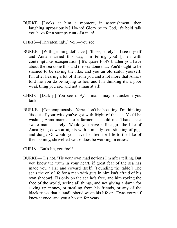- BURKE—[Looks at him a moment, in astonishment—then laughing uproariously.] Ho-ho! Glory be to God, it's bold talk you have for a stumpy runt of a man!
- CHRIS—[Threateningly.] Vell—you see!
- BURKE—[With grinning defiance.] I'll see, surely! I'll see myself and Anna married this day, I'm telling you! [Then with contemptuous exasperation.] It's quare fool's blather you have about the sea done this and the sea done that. You'd ought to be shamed to be saying the like, and you an old sailor yourself. I'm after hearing a lot of it from you and a lot more that Anna's told me you do be saying to her, and I'm thinking it's a poor weak thing you are, and not a man at all!
- CHRIS—[Darkly.] You see if Ay'm man—maybe quicker'n you tank.
- BURKE—[Contemptuously.] Yerra, don't be boasting. I'm thinking 'tis out of your wits you've got with fright of the sea. You'd be wishing Anna married to a farmer, she told me. That'd be a swate match, surely! Would you have a fine girl the like of Anna lying down at nights with a muddy scut stinking of pigs and dung? Or would you have her tied for life to the like of them skinny, shrivelled swabs does be working in cities?
- CHRIS—Dat's lie, you fool!
- BURKE—'Tis not. 'Tis your own mad notions I'm after telling. But you know the truth in your heart, if great fear of the sea has made you a liar and coward itself. [Pounding the table.] The sea's the only life for a man with guts in him isn't afraid of his own shadow! 'Tis only on the sea he's free, and him roving the face of the world, seeing all things, and not giving a damn for saving up money, or stealing from his friends, or any of the black tricks that a landlubber'd waste his life on. 'Twas yourself knew it once, and you a bo'sun for years.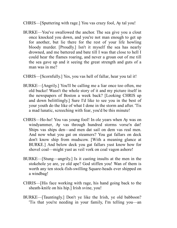- CHRIS—[Sputtering with rage.] You vas crazy fool, Ay tal you!
- BURKE—You've swallowed the anchor. The sea give you a clout once knocked you down, and you're not man enough to get up for another, but lie there for the rest of your life howling bloody murder. [Proudly.] Isn't it myself the sea has nearly drowned, and me battered and bate till I was that close to hell I could hear the flames roaring, and never a groan out of me till the sea gave up and it seeing the great strength and guts of a man was in me?
- CHRIS—[Scornfully.] Yes, you vas hell of fallar, hear you tal it!
- BURKE—[Angrily.] You'll be calling me a liar once too often, me old bucko! Wasn't the whole story of it and my picture itself in the newspapers of Boston a week back? [Looking CHRIS up and down belittlingly.] Sure I'd like to see you in the best of your youth do the like of what I done in the storm and after. 'Tis a mad lunatic, screeching with fear, you'd be this minute!
- CHRIS—Ho-ho! You vas young fool! In ole years when Ay was on windyammer, Ay vas through hundred storms vorse'n dat! Ships vas ships den—and men dat sail on dem vas real men. And now what you gat on steamers? You gat fallars on deck don't know ship from mudscow. [With a meaning glance at BURKE.] And below deck you gat fallars yust know how for shovel coal—might yust as veil vork on coal vagon ashore!
- BURKE—[Stung—angrily.] Is it casting insults at the men in the stokehole ye are, ye old ape? God stiffen you! Wan of them is worth any ten stock-fish-swilling Square-heads ever shipped on a windbag!
- CHRIS—[His face working with rage, his hand going back to the sheath-knife on his hip.] Irish svine, you!
- BURKE—[Tauntingly.] Don't ye like the Irish, ye old babboon? 'Tis that you're needing in your family, I'm telling you—an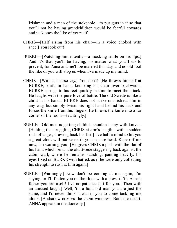Irishman and a man of the stokehole—to put guts in it so that you'll not be having grandchildren would be fearful cowards and jackasses the like of yourself!

- CHRIS—[Half rising from his chair—in a voice choked with rage.] You look out!
- BURKE—[Watching him intently—a mocking smile on his lips.] And it's that you'll be having, no matter what you'll do to prevent; for Anna and me'll be married this day, and no old fool the like of you will stop us when I've made up my mind.
- CHRIS—[With a hoarse cry.] You don't! [He throws himself at BURKE, knife in hand, knocking his chair over backwards. BURKE springs to his feet quickly in time to meet the attack. He laughs with the pure love of battle. The old Swede is like a child in his hands. BURKE does not strike or mistreat him in any way, but simply twists his right hand behind his back and forces the knife from his fingers. He throws the knife into a far corner of the room—tauntingly.]
- BURKE—Old men is getting childish shouldn't play with knives. [Holding the struggling CHRIS at arm's length—with a sudden rush of anger, drawing back his fist.] I've half a mind to hit you a great clout will put sense in your square head. Kape off me now, I'm warning you! [He gives CHRIS a push with the flat of his hand which sends the old Swede staggering back against the cabin wall, where he remains standing, panting heavily, his eyes fixed on BURKE with hatred, as if he were only collecting his strength to rush at him again.]
- BURKE—[Warningly.] Now don't be coming at me again, I'm saying, or I'll flatten you on the floor with a blow, if 'tis Anna's father you are itself! I've no patience left for you. [Then with an amused laugh.] Well, 'tis a bold old man you are just the same, and I'd never think it was in you to come tackling me alone. [A shadow crosses the cabin windows. Both men start. ANNA appears in the doorway.]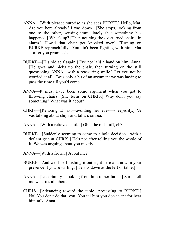- ANNA—[With pleased surprise as she sees BURKE.] Hello, Mat. Are you here already? I was down—[She stops, looking from one to the other, sensing immediately that something has happened.] What's up? [Then noticing the overturned chair—in alarm.] How'd that chair get knocked over? [Turning on BURKE reproachfully.] You ain't been fighting with him, Mat —after you promised?
- BURKE—[His old self again.] I've not laid a hand on him, Anna. [He goes and picks up the chair, then turning on the still questioning ANNA—with a reassuring smile.] Let you not be worried at all. 'Twas only a bit of an argument we was having to pass the time till you'd come.
- ANNA—It must have been some argument when you got to throwing chairs. [She turns on CHRIS.] Why don't you say something? What was it about?
- CHRIS—[Relaxing at last—avoiding her eyes—sheepishly.] Ve vas talking about ships and fallars on sea.
- ANNA—[With a relieved smile.] Oh—the old stuff, eh?
- BURKE—[Suddenly seeming to come to a bold decision—with a defiant grin at CHRIS.] He's not after telling you the whole of it. We was arguing about you mostly.
- ANNA—[With a frown.] About me?
- BURKE—And we'll be finishing it out right here and now in your presence if you're willing. [He sits down at the left of table.]
- ANNA—[Uncertainly—looking from him to her father.] Sure. Tell me what it's all about.
- CHRIS—[Advancing toward the table—protesting to BURKE.] No! You don't do dat, you! You tal him you don't vant for hear him talk, Anna.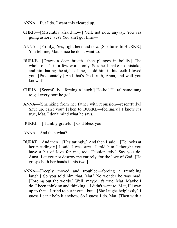- ANNA—But I do. I want this cleared up.
- CHRIS—[Miserably afraid now.] Vell, not now, anyvay. You vas going ashore, yes? You ain't got time—
- ANNA—[Firmly.] Yes, right here and now. [She turns to BURKE.] You tell me, Mat, since he don't want to.
- BURKE—[Draws a deep breath—then plunges in boldly.] The whole of it's in a few words only. So's he'd make no mistake, and him hating the sight of me, I told him in his teeth I loved you. [Passionately.] And that's God truth, Anna, and well you know it!
- CHRIS—[Scornfully—forcing a laugh.] Ho-ho! He tal same tang to gel every port he go!
- ANNA—[Shrinking from her father with repulsion—resentfully.] Shut up, can't you? [Then to BURKE—feelingly.] I know it's true, Mat. I don't mind what he says.
- BURKE—[Humbly grateful.] God bless you!
- ANNA—And then what?
- BURKE—And then—[Hesitatingly.] And then I said—[He looks at her pleadingly.] I said I was sure—I told him I thought you have a bit of love for me, too. [Passionately.] Say you do, Anna! Let you not destroy me entirely, for the love of God! [He grasps both her hands in his two.]
- ANNA—[Deeply moved and troubled—forcing a trembling laugh.] So you told him that, Mat? No wonder he was mad. [Forcing out the words.] Well, maybe it's true, Mat. Maybe I do. I been thinking and thinking—I didn't want to, Mat, I'll own up to that—I tried to cut it out—but—[She laughs helplessly.] I guess I can't help it anyhow. So I guess I do, Mat. [Then with a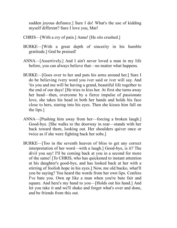sudden joyous defiance.] Sure I do! What's the use of kidding myself different? Sure I love you, Mat!

- CHRIS—[With a cry of pain.] Anna! [He sits crushed.]
- BURKE—[With a great depth of sincerity in his humble gratitude.] God be praised!
- ANNA—[Assertively.] And I ain't never loved a man in my life before, you can always believe that—no matter what happens.
- BURKE—[Goes over to her and puts his arms around her.] Sure I do be believing ivery word you iver said or iver will say. And 'tis you and me will be having a grand, beautiful life together to the end of our days! [He tries to kiss her. At first she turns away her head—then, overcome by a fierce impulse of passionate love, she takes his head in both her hands and holds his face close to hers, staring into his eyes. Then she kisses him full on the lips.]
- ANNA—[Pushing him away from her—forcing a broken laugh.] Good-bye. [She walks to the doorway in rear—stands with her back toward them, looking out. Her shoulders quiver once or twice as if she were fighting back her sobs.]
- BURKE—[Too in the seventh heaven of bliss to get any correct interpretation of her word—with a laugh.] Good-bye, is it? The divil you say! I'll be coming back at you in a second for more of the same! [To CHRIS, who has quickened to instant attention at his daughter's good-bye, and has looked back at her with a stirring of foolish hope in his eyes.] Now, me old bucko, what'll you be saying? You heard the words from her own lips. Confess I've bate you. Own up like a man when you're bate fair and square. And here's my hand to you—[Holds out his hand.] And let you take it and we'll shake and forget what's over and done, and be friends from this out.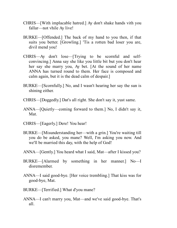- CHRIS—[With implacable hatred.] Ay don't shake hands vith you fallar—not vhile Ay live!
- BURKE—[Offended.] The back of my hand to you then, if that suits you better. [Growling.] 'Tis a rotten bad loser you are, divil mend you!
- CHRIS—Ay don't lose—[Trying to be scornful and selfconvincing.] Anna say she like you little bit but you don't hear her say she marry you, Ay bet. [At the sound of her name ANNA has turned round to them. Her face is composed and calm again, but it is the dead calm of despair.]
- BURKE—[Scornfully.] No, and I wasn't hearing her say the sun is shining either.
- CHRIS—[Doggedly.] Dat's all right. She don't say it, yust same.
- ANNA—[Quietly—coming forward to them.] No, I didn't say it, Mat.
- CHRIS—[Eagerly.] Dere! You hear!
- BURKE—[Misunderstanding her—with a grin.] You're waiting till you do be asked, you mane? Well, I'm asking you now. And we'll be married this day, with the help of God!
- ANNA—[Gently.] You heard what I said, Mat—after I kissed you?
- BURKE—[Alarmed by something in her manner.] No—I disremember.
- ANNA—I said good-bye. [Her voice trembling.] That kiss was for good-bye, Mat.
- BURKE—[Terrified.] What d'you mane?
- ANNA—I can't marry you, Mat—and we've said good-bye. That's all.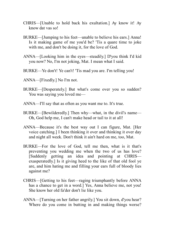- CHRIS—[Unable to hold back his exultation.] Ay know it! Ay know dat vas so!
- BURKE—[Jumping to his feet—unable to believe his ears.] Anna! Is it making game of me you'd be? 'Tis a quare time to joke with me, and don't be doing it, for the love of God.
- ANNA—[Looking him in the eyes—steadily.] D'you think I'd kid you now? No, I'm not joking, Mat. I mean what I said.
- BURKE—Ye don't! Ye can't! 'Tis mad you are. I'm telling you!
- ANNA—[Fixedly.] No I'm not.
- BURKE—[Desperately.] But what's come over you so sudden? You was saying you loved me—
- ANNA—I'll say that as often as you want me to. It's true.
- BURKE—[Bewilderedly.] Then why—what, in the divil's name— Oh, God help me, I can't make head or tail to it at all!
- ANNA—Because it's the best way out I can figure, Mat. [Her voice catching.] I been thinking it over and thinking it over day and night all week. Don't think it ain't hard on me, too, Mat.
- BURKE—For the love of God, tell me then, what is it that's preventing you wedding me when the two of us has love? [Suddenly getting an idea and pointing at CHRIS exasperatedly.] Is it giving heed to the like of that old fool ye are, and him hating me and filling your ears full of bloody lies against me?
- CHRIS—[Getting to his feet—raging triumphantly before ANNA has a chance to get in a word.] Yes, Anna believe me, not you! She know her old fa'der don't lie like you.
- ANNA—[Turning on her father angrily.] You sit down, d'you hear? Where do you come in butting in and making things worse?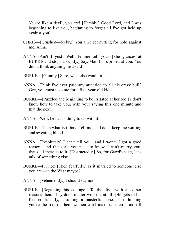You're like a devil, you are! [Harshly.] Good Lord, and I was beginning to like you, beginning to forget all I've got held up against you!

- CHRIS—[Crushed—feebly.] You ain't got nutting for hold against me, Anna.
- ANNA—Ain't I yust! Well, lemme tell you—[She glances at BURKE and stops abruptly.] Say, Mat, I'm s'prised at you. You didn't think anything he'd said—
- BURKE—[Glumly.] Sure, what else would it be?
- ANNA—Think I've ever paid any attention to all his crazy bull? Gee, you must take me for a five-year-old kid.
- BURKE—[Puzzled and beginning to be irritated at her too.] I don't know how to take you, with your saying this one minute and that the next.
- ANNA—Well, he has nothing to do with it.
- BURKE—Then what is it has? Tell me, and don't keep me waiting and sweating blood.
- ANNA—[Resolutely] I can't tell you—and I won't. I got a good reason—and that's all you need to know. I can't marry you, that's all there is to it. [Distractedly.] So, for Gawd's sake, let's talk of something else.
- BURKE—I'll not! [Then fearfully.] Is it married to someone else you are—in the West maybe?
- ANNA—[Vehemently.] I should say not.
- BURKE—[Regaining his courage.] To the divil with all other reasons then. They don't matter with me at all. [He gets to his feet confidently, assuming a masterful tone.] I'm thinking you're the like of them women can't make up their mind till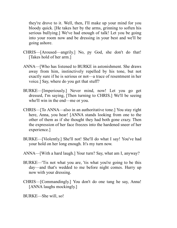they're drove to it. Well, then, I'll make up your mind for you bloody quick. [He takes her by the arms, grinning to soften his serious bullying.] We've had enough of talk! Let you be going into your room now and be dressing in your best and we'll be going ashore.

- CHRIS—[Aroused—angrily.] No, py God, she don't do that! [Takes hold of her arm.]
- ANNA—[Who has listened to BURKE in astonishment. She draws away from him, instinctively repelled by his tone, but not exactly sure if he is serious or not—a trace of resentment in her voice.] Say, where do you get that stuff?
- BURKE—[Imperiously.] Never mind, now! Let you go get dressed, I'm saying, [Then turning to CHRIS.] We'll be seeing who'll win in the end—me or you.
- CHRIS—[To ANNA—also in an authoritative tone.] You stay right here, Anna, you hear! [ANNA stands looking from one to the other of them as if she thought they had both gone crazy. Then the expression of her face freezes into the hardened sneer of her experience.]
- BURKE—[Violently.] She'll not! She'll do what I say! You've had your hold on her long enough. It's my turn now.
- ANNA—[With a hard laugh.] Your turn? Say, what am I, anyway?
- BURKE—'Tis not what you are, 'tis what you're going to be this day—and that's wedded to me before night comes. Hurry up now with your dressing.
- CHRIS—[Commandingly.] You don't do one tang he say, Anna! [ANNA laughs mockingly.]

BURKE—She will, so!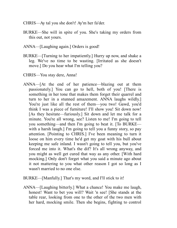- CHRIS—Ay tal you she don't! Ay'm her fa'der.
- BURKE—She will in spite of you. She's taking my orders from this out, not yours.
- ANNA—[Laughing again.] Orders is good!
- BURKE—[Turning to her impatiently.] Hurry up now, and shake a leg. We've no time to be wasting. [Irritated as she doesn't move.] Do you hear what I'm telling you?
- CHRIS—You stay dere, Anna!
- ANNA—[At the end of her patience—blazing out at them passionately.] You can go to hell, both of you! [There is something in her tone that makes them forget their quarrel and turn to her in a stunned amazement. ANNA laughs wildly.] You're just like all the rest of them—you two! Gawd, you'd think I was a piece of furniture! I'll show you! Sit down now! [As they hesitate—furiously.] Sit down and let me talk for a minute. You're all wrong, see? Listen to me! I'm going to tell you something—and then I'm going to beat it. [To BURKE with a harsh laugh.] I'm going to tell you a funny story, so pay attention. [Pointing to CHRIS.] I've been meaning to turn it loose on him every time he'd get my goat with his bull about keeping me safe inland. I wasn't going to tell you, but you've forced me into it. What's the dif? It's all wrong anyway, and you might as well get cured that way as any other. [With hard mocking.] Only don't forget what you said a minute ago about it not mattering to you what other reason I got so long as I wasn't married to no one else.
- BURKE—[Manfully.] That's my word, and I'll stick to it!
- ANNA—[Laughing bitterly.] What a chance! You make me laugh, honest! Want to bet you will? Wait 'n see! [She stands at the table rear, looking from one to the other of the two men with her hard, mocking smile. Then she begins, fighting to control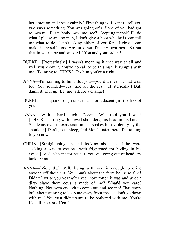her emotion and speak calmly.] First thing is, I want to tell you two guys something. You was going on's if one of you had got to own me. But nobody owns me, see?—'cepting myself. I'll do what I please and no man, I don't give a hoot who he is, can tell me what to do! I ain't asking either of you for a living. I can make it myself—one way or other. I'm my own boss. So put that in your pipe and smoke it! You and your orders!

- BURKE—[Protestingly.] I wasn't meaning it that way at all and well you know it. You've no call to be raising this rumpus with me. [Pointing to CHRIS.] 'Tis him you've a right—
- ANNA—I'm coming to him. But you—you did mean it that way, too. You sounded—yust like all the rest. [Hysterically.] But, damn it, shut up! Let me talk for a change!
- BURKE—'Tis quare, rough talk, that—for a dacent girl the like of you!
- ANNA—[With a hard laugh.] Decent? Who told you I was? [CHRIS is sitting with bowed shoulders, his head in his hands. She leans over in exasperation and shakes him violently by the shoulder.] Don't go to sleep, Old Man! Listen here, I'm talking to you now!
- CHRIS—[Straightening up and looking about as if he were seeking a way to escape—with frightened foreboding in his voice.] Ay don't vant for hear it. You vas going out of head, Ay tank, Anna.
- ANNA—[Violently.] Well, living with you is enough to drive anyone off their nut. Your bunk about the farm being so fine! Didn't I write you year after year how rotten it was and what a dirty slave them cousins made of me? What'd you care? Nothing! Not even enough to come out and see me! That crazy bull about wanting to keep me away from the sea don't go down with me! You yust didn't want to be bothered with me! You're like all the rest of 'em!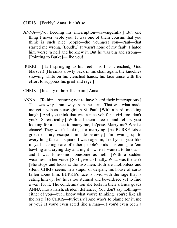- CHRIS—[Feebly.] Anna! It ain't so—
- ANNA—[Not heeding his interruption—revengefully.] But one thing I never wrote you. It was one of them cousins that you think is such nice people—the youngest son—Paul—that started me wrong. [Loudly.] It wasn't none of my fault. I hated him worse 'n hell and he knew it. But he was big and strong— [Pointing to Burke]—like you!
- BURKE—[Half springing to his feet—his fists clenched,] God blarst it! [He sinks slowly back in his chair again, the knuckles showing white on his clenched hands, his face tense with the effort to suppress his grief and rage.]
- CHRIS—[In a cry of horrified pain.] Anna!
- ANNA—[To him—seeming not to have heard their interruptions.] That was why I run away from the farm. That was what made me get a yob as nurse girl in St. Paul. [With a hard, mocking laugh.] And you think that was a nice yob for a girl, too, don't you? [Sarcastically.] With all them nice inland fellers yust looking for a chance to marry me, I s'pose. Marry me? What a chance! They wasn't looking for marrying. [As BURKE lets a groan of fury escape him—desperately.] I'm owning up to everything fair and square. I was caged in, I tell you—yust like in yail—taking care of other people's kids—listening to 'em bawling and crying day and night—when I wanted to be out and I was lonesome—lonesome as hell! [With a sudden weariness in her voice.] So I give up finally. What was the use? [She stops and looks at the two men. Both are motionless and silent. CHRIS seems in a stupor of despair, his house of cards fallen about him. BURKE's face is livid with the rage that is eating him up, but he is too stunned and bewildered yet to find a vent for it. The condemnation she feels in their silence goads ANNA into a harsh, strident defiance.] You don't say nothing either of you—but I know what you're thinking. You're like all the rest! [To CHRIS—furiously.] And who's to blame for it, me or you? If you'd even acted like a man—if you'd even been a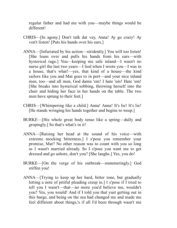regular father and had me with you—maybe things would be different!

- CHRIS—[In agony.] Don't talk dat vay, Anna! Ay go crazy! Ay von't listen! [Puts his hands over his ears.]
- ANNA—[Infuriated by his action—stridently.] You will too listen! [She leans over and pulls his hands from his ears—with hysterical rage.] You—keeping me safe inland—I wasn't no nurse girl the last two years—I lied when I wrote you—I was in a house, that's what!—yes, that kind of a house—the kind sailors like you and Mat goes to in port—and your nice inland men, too—and all men, God damn 'em! I hate 'em! Hate 'em! [She breaks into hysterical sobbing, throwing herself into the chair and hiding her face in her hands on the table. The two men have sprung to their feet.]
- CHRIS—[Whimpering like a child.] Anna! Anna! It's lie! It's lie! [He stands wringing his hands together and begins to weep.]
- BURKE—[His whole great body tense like a spring—dully and gropingly.] So that's what's in it!
- ANNA—[Raising her head at the sound of his voice—with extreme mocking bitterness.] I s'pose you remember your promise, Mat? No other reason was to count with you so long as I wasn't married already. So I s'pose you want me to get dressed and go ashore, don't you? [She laughs.] Yes, you do!
- BURKE—[On the verge of his outbreak—stammeringly.] God stiffen you!
- ANNA—[Trying to keep up her hard, bitter tone, but gradually letting a note of pitiful pleading creep in.] I s'pose if I tried to tell you I wasn't—that—no more you'd believe me, wouldn't you? Yes, you would! And if I told you that yust getting out in this barge, and being on the sea had changed me and made me feel different about things,'s if all I'd been through wasn't me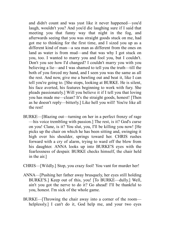and didn't count and was yust like it never happened—you'd laugh, wouldn't you? And you'd die laughing sure if I said that meeting you that funny way that night in the fog, and afterwards seeing that you was straight goods stuck on me, had got me to thinking for the first time, and I sized you up as a different kind of man—a sea man as different from the ones on land as water is from mud—and that was why I got stuck on you, too. I wanted to marry you and fool you, but I couldn't. Don't you see how I'd changed? I couldn't marry you with you believing a lie—and I was shamed to tell you the truth—till the both of you forced my hand, and I seen you was the same as all the rest. And now, give me a bawling out and beat it, like I can tell you're going to. [She stops, looking at BURKE. He is silent, his face averted, his features beginning to work with fury. She pleads passionately.] Will you believe it if I tell you that loving you has made me—clean? It's the straight goods, honest! [Then as he doesn't reply—bitterly.] Like hell you will! You're like all the rest!

BURKE—[Blazing out—turning on her in a perfect frenzy of rage —his voice trembling with passion.] The rest, is it? God's curse on you! Clane, is it? You slut, you, I'll be killing you now! [He picks up the chair on which he has been sitting and, swinging it high over his shoulder, springs toward her. CHRIS rushes forward with a cry of alarm, trying to ward off the blow from his daughter. ANNA looks up into BURKE'S eyes with the fearlessness of despair. BURKE checks himself, the chair held in the air.]

CHRIS—[Wildly.] Stop, you crazy fool! You vant for murder her!

- ANNA—[Pushing her father away brusquely, her eyes still holding BURKE'S.] Keep out of this, you! [To BURKE—dully.] Well, ain't you got the nerve to do it? Go ahead! I'll be thankful to you, honest. I'm sick of the whole game.
- BURKE—[Throwing the chair away into a corner of the room helplessly.] I can't do it, God help me, and your two eyes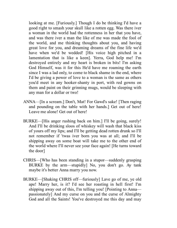looking at me. [Furiously.] Though I do be thinking I'd have a good right to smash your skull like a rotten egg. Was there iver a woman in the world had the rottenness in her that you have, and was there iver a man the like of me was made the fool of the world, and me thinking thoughts about you, and having great love for you, and dreaming dreams of the fine life we'd have when we'd be wedded! [His voice high pitched in a lamentation that is like a keen]. Yerra, God help me! I'm destroyed entirely and my heart is broken in bits! I'm asking God Himself, was it for this He'd have me roaming the earth since I was a lad only, to come to black shame in the end, where I'd be giving a power of love to a woman is the same as others you'd meet in any hooker-shanty in port, with red gowns on them and paint on their grinning mugs, would be sleeping with any man for a dollar or two!

- ANNA—[In a scream.] Don't, Mat! For Gawd's sake! [Then raging and pounding on the table with her hands.] Get out of here! Leave me alone! Get out of here!
- BURKE—[His anger rushing back on him.] I'll be going, surely! And I'll be drinking sloos of whiskey will wash that black kiss of yours off my lips; and I'll be getting dead rotten drunk so I'll not remember if 'twas iver born you was at all; and I'll be shipping away on some boat will take me to the other end of the world where I'll never see your face again! [He turns toward the door]
- CHRIS—[Who has been standing in a stupor—suddenly grasping BURKE by the arm—stupidly] No, you don't go. Ay tank maybe it's better Anna marry you now.
- BURKE—[Shaking CHRIS off—furiously] Lave go of me, ye old ape! Marry her, is it? I'd see her roasting in hell first! I'm shipping away out of this, I'm telling you! [Pointing to Anna passionately] And my curse on you and the curse of Almighty God and all the Saints! You've destroyed me this day and may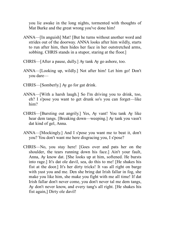you lie awake in the long nights, tormented with thoughts of Mat Burke and the great wrong you've done him!

- ANNA—[In anguish] Mat! [But he turns without another word and strides out of the doorway. ANNA looks after him wildly, starts to run after him, then hides her face in her outstretched arms, sobbing. CHRIS stands in a stupor, staring at the floor.]
- CHRIS—[After a pause, dully.] Ay tank Ay go ashore, too.
- ANNA—[Looking up, wildly.] Not after him! Let him go! Don't you dare—
- CHRIS—[Somberly.] Ay go for gat drink.
- ANNA—[With a harsh laugh.] So I'm driving you to drink, too, eh? I s'pose you want to get drunk so's you can forget—like him?
- CHRIS—[Bursting out angrily.] Yes, Ay vant! You tank Ay like hear dem tangs. [Breaking down—weeping.] Ay tank you vasn't dat kind of gel, Anna.
- ANNA—[Mockingly.] And I s'pose you want me to beat it, don't you? You don't want me here disgracing you, I s'pose?
- CHRIS—No, you stay here! [Goes over and pats her on the shoulder, the tears running down his face.] Ain't your fault, Anna, Ay know dat. [She looks up at him, softened. He bursts into rage.] It's dat ole davil, sea, do this to me! [He shakes his fist at the door.] It's her dirty tricks! It vas all right on barge with yust you and me. Den she bring dat Irish fallar in fog, she make you like him, she make you fight with me all time! If dat Irish fallar don't never come, you don't never tal me dem tangs, Ay don't never know, and every tang's all right. [He shakes his fist again,] Dirty ole davil!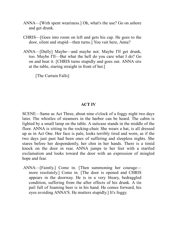- ANNA—[With spent weariness.] Oh, what's the use? Go on ashore and get drunk.
- CHRIS—[Goes into room on left and gets his cap. He goes to the door, silent and stupid—then turns.] You vait here, Anna?
- ANNA—[Dully] Maybe—and maybe not. Maybe I'll get drunk, too. Maybe I'll—But what the hell do you care what I do? Go on and beat it. [CHRIS turns stupidly and goes out. ANNA sits at the table, staring straight in front of her.]

[The Curtain Falls]

## **ACT IV**

SCENE—Same as Act Three, about nine o'clock of a foggy night two days later. The whistles of steamers in the harbor can be heard. The cabin is lighted by a small lamp on the table. A suitcase stands in the middle of the floor. ANNA is sitting in the rocking-chair. She wears a hat, is all dressed up as in Act One. Her face is pale, looks terribly tired and worn, as if the two days just past had been ones of suffering and sleepless nights. She stares before her despondently, her chin in her hands. There is a timid knock on the door in rear. ANNA jumps to her feet with a startled exclamation and looks toward the door with an expression of mingled hope and fear.

ANNA—[Faintly.] Come in. [Then summoning her courage more resolutely.] Come in. [The door is opened and CHRIS appears in the doorway. He is in a very bleary, bedraggled condition, suffering from the after effects of his drunk. A tin pail full of foaming beer is in his hand. He comes forward, his eyes avoiding ANNA'S. He mutters stupidly.] It's foggy.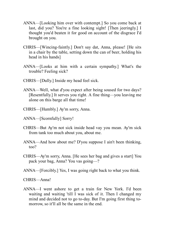- ANNA—[Looking him over with contempt.] So you come back at last, did you? You're a fine looking sight! [Then jeeringly.] I thought you'd beaten it for good on account of the disgrace I'd brought on you.
- CHRIS—[Wincing-faintly.] Don't say dat, Anna, please! [He sits in a chair by the table, setting down the can of beer, holding his head in his hands]
- ANNA—[Looks at him with a certain sympathy.] What's the trouble? Feeling sick?
- CHRIS—[Dully.] Inside my head feel sick.
- ANNA—Well, what d'you expect after being soused for two days? [Resentfully.] It serves you right. A fine thing—you leaving me alone on this barge all that time!
- CHRIS—[Humbly.] Ay'm sorry, Anna.
- ANNA—[Scornfully] Sorry!
- CHRIS—But Ay'm not sick inside head vay you mean. Ay'm sick from tank too much about you, about me.
- ANNA—And how about me? D'you suppose I ain't been thinking, too?
- CHRIS—Ay'm sorry, Anna. [He sees her bag and gives a start] You pack your bag, Anna? You vas going—?
- ANNA—[Forcibly.] Yes, I was going right back to what you think.
- CHRIS—Anna!
- ANNA—I went ashore to get a train for New York. I'd been waiting and waiting 'till I was sick of it. Then I changed my mind and decided not to go to-day. But I'm going first thing tomorrow, so it'll all be the same in the end.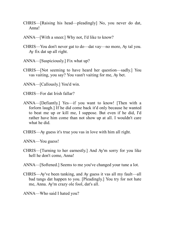- CHRIS—[Raising his head—pleadingly] No, you never do dat, Anna!
- ANNA—[With a sneer.] Why not, I'd like to know?
- CHRIS—You don't never gat to do—dat vay—no more, Ay tal you. Ay fix dat up all right.
- ANNA—[Suspiciously.] Fix what up?
- CHRIS—[Not seeming to have heard her question—sadly.] You vas vaiting, you say? You vasn't vaiting for me, Ay bet.
- ANNA—[Callously.] You'd win.
- CHRIS—For dat Irish fallar?
- ANNA—[Defiantly.] Yes—if you want to know! [Then with a forlorn laugh.] If he did come back it'd only because he wanted to beat me up or kill me, I suppose. But even if he did, I'd rather have him come than not show up at all. I wouldn't care what he did.
- CHRIS—Ay guess it's true you vas in love with him all right.
- ANNA—You guess!
- CHRIS—[Turning to her earnestly.] And Ay'm sorry for you like hell he don't come, Anna!
- ANNA—[Softened.] Seems to me you've changed your tune a lot.
- CHRIS—Ay've been tanking, and Ay guess it vas all my fault—all bad tangs dat happen to you. [Pleadingly.] You try for not hate me, Anna. Ay'm crazy ole fool, dat's all.
- ANNA—Who said I hated you?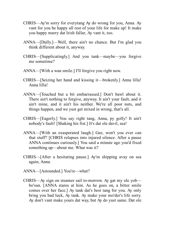- CHRIS—Ay'm sorry for everytang Ay do wrong for you, Anna. Ay vant for you be happy all rest of your life for make up! It make you happy marry dat Irish fallar, Ay vant it, too.
- ANNA—[Dully.]—Well, there ain't no chance. But I'm glad you think different about it, anyway.
- CHRIS—[Supplicatingly.] And you tank—maybe—you forgive me sometime?
- ANNA—[With a wan smile.] I'll forgive you right now.
- CHRIS—[Seizing her hand and kissing it—brokenly.] Anna lilla! Anna lilla!
- ANNA—[Touched but a bit embarrassed.] Don't bawl about it. There ain't nothing to forgive, anyway. It ain't your fault, and it ain't mine, and it ain't his neither. We're all poor nuts, and things happen, and we yust get mixed in wrong, that's all.
- CHRIS—[Eagerly.] You say right tang, Anna, py golly! It ain't nobody's fault! [Shaking his fist.] It's dat ole davil, sea!
- ANNA—[With an exasperated laugh.] Gee, won't you ever can that stuff? [CHRIS relapses into injured silence. After a pause ANNA continues curiously.] You said a minute ago you'd fixed something up—about me. What was it?
- CHRIS—[After a hesitating pause.] Ay'm shipping avay on sea again, Anna.
- ANNA—[Astounded.] You're—what?
- CHRIS—Ay sign on steamer sail to-morrow. Ay gat my ole yob bo'sun. [ANNA stares at him. As he goes on, a bitter smile comes over her face.] Ay tank dat's best tang for you. Ay only bring you bad luck, Ay tank. Ay make your mo'der's life sorry. Ay don't vant make yours dat way, but Ay do yust same. Dat ole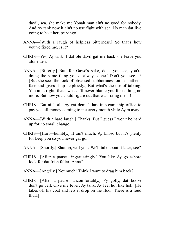davil, sea, she make me Yonah man ain't no good for nobody. And Ay tank now it ain't no use fight with sea. No man dat live going to beat her, py yingo!

- ANNA—[With a laugh of helpless bitterness.] So that's how you've fixed me, is it?
- CHRIS—Yes, Ay tank if dat ole davil gat me back she leave you alone den.
- ANNA—[Bitterly.] But, for Gawd's sake, don't you see, you're doing the same thing you've always done? Don't you see—? [But she sees the look of obsessed stubbornness on her father's face and gives it up helplessly.] But what's the use of talking. You ain't right, that's what. I'll never blame you for nothing no more. But how you could figure out that was fixing me—!
- CHRIS—Dat ain't all. Ay gat dem fallars in steam-ship office to pay you all money coming to me every month vhile Ay'm avay.
- ANNA—[With a hard laugh.] Thanks. But I guess I won't be hard up for no small change.
- CHRIS—[Hurt—humbly.] It ain't much, Ay know, but it's plenty for keep you so you never gat go.
- ANNA—[Shortly.] Shut up, will you? We'll talk about it later, see?
- CHRIS—[After a pause—ingratiatingly.] You like Ay go ashore look for dat Irish fallar, Anna?
- ANNA—[Angrily.] Not much! Think I want to drag him back?
- CHRIS—[After a pause—uncomfortably.] Py golly, dat booze don't go veil. Give me fever, Ay tank, Ay feel hot like hell. [He takes off his coat and lets it drop on the floor. There is a loud thud.]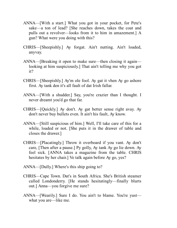- ANNA—[With a start.] What you got in your pocket, for Pete's sake—a ton of lead? [She reaches down, takes the coat and pulls out a revolver—looks from it to him in amazement.] A gun? What were you doing with this?
- CHRIS—[Sheepishly.] Ay forgat. Ain't nutting. Ain't loaded, anyvay.
- ANNA—[Breaking it open to make sure—then closing it again looking at him suspiciously.] That ain't telling me why you got it?
- CHRIS—[Sheepishly.] Ay'm ole fool. Ay gat it vhen Ay go ashore first. Ay tank den it's all fault of dat Irish fallar.
- ANNA—[With a shudder.] Say, you're crazier than I thought. I never dreamt you'd go that far.
- CHRIS—[Quickly.] Ay don't. Ay gat better sense right avay. Ay don't never buy bullets even. It ain't his fault, Ay know.
- ANNA—[Still suspicious of him.] Well, I'll take care of this for a while, loaded or not. [She puts it in the drawer of table and closes the drawer.]
- CHRIS—[Placatingly.] Throw it overboard if you vant. Ay don't care, [Then after a pause.] Py golly, Ay tank Ay go lie down. Ay feel sick. [ANNA takes a magazine from the table. CHRIS hesitates by her chair.] Ve talk again before Ay go, yes?
- ANNA—[Dully.] Where's this ship going to?
- CHRIS—Cape Town. Dat's in South Africa. She's British steamer called Londonderry. [He stands hesitatingly—finally blurts out.] Anna—you forgive me sure?
- ANNA—[Wearily.] Sure I do. You ain't to blame. You're yust what you are—like me.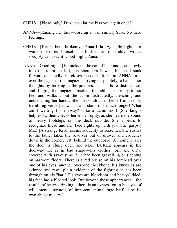- CHRIS—[Pleadingly.] Den—you lat me kiss you again once?
- ANNA—[Raising her face—forcing a wan smile.] Sure. No hard feelings.
- CHRIS—[Kisses her—brokenly.] Anna lilla! Ay—[He fights for words to express himself, but finds none—miserably—with a sob.] Ay can't say it. Good-night, Anna.
- ANNA—Good-night. [He picks up the can of beer and goes slowly into the room on left, his shoulders bowed, his head sunk forward dejectedly. He closes the door after him. ANNA turns over the pages of the magazine, trying desperately to banish her thoughts by looking at the pictures. This fails to distract her, and flinging the magazine back on the table, she springs to her feet and walks about the cabin distractedly, clenching and unclenching her hands. She speaks aloud to herself in a tense, trembling voice.] Gawd, I can't stand this much longer! What am I waiting for anyway?—like a damn fool! [She laughs helplessly, then checks herself abruptly, as she hears the sound of heavy footsteps on the deck outside. She appears to recognize these and her face lights up with joy. She gasps:] Mat! [A strange terror seems suddenly to seize her. She rushes to the table, takes the revolver out of drawer and crouches down in the corner, left, behind the cupboard. A moment later the door is flung open and MAT BURKE appears in the doorway. He is in bad shape—his clothes torn and dirty, covered with sawdust as if he had been grovelling or sleeping on barroom floors. There is a red bruise on his forehead over one of his eyes, another over one cheekbone, his knuckles are skinned and raw—plain evidence of the fighting he has been through on his "bat." His eyes are bloodshot and heavy-lidded, his face has a bloated look. But beyond these appearances—the results of heavy drinking—there is an expression in his eyes of wild mental turmoil, of impotent animal rage baffled by its own abject misery.]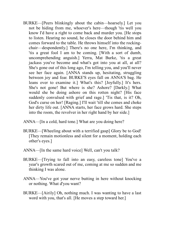- BURKE—[Peers blinkingly about the cabin—hoarsely.] Let you not be hiding from me, whoever's here—though 'tis well you know I'd have a right to come back and murder you. [He stops to listen. Hearing no sound, he closes the door behind him and comes forward to the table. He throws himself into the rockingchair—despondently.] There's no one here, I'm thinking, and 'tis a great fool I am to be coming. [With a sort of dumb, uncomprehending anguish.] Yerra, Mat Burke, 'tis a great jackass you've become and what's got into you at all, at all? She's gone out of this long ago, I'm telling you, and you'll never see her face again. [ANNA stands up, hesitating, struggling between joy and fear. BURKE'S eyes fall on ANNA'S bag. He leans over to examine it.] What's this? [Joyfully.] It's hers. She's not gone! But where is she? Ashore? [Darkly.] What would she be doing ashore on this rotten night? [His face suddenly convulsed with grief and rage.] 'Tis that, is it? Oh, God's curse on her! [Raging.] I'll wait 'till she comes and choke her dirty life out. [ANNA starts, her face grows hard. She steps into the room, the revolver in her right hand by her side.]
- ANNA—[In a cold, hard tone.] What are you doing here?
- BURKE—[Wheeling about with a terrified gasp] Glory be to God! [They remain motionless and silent for a moment, holding each other's eyes.]
- ANNA—[In the same hard voice] Well, can't you talk?
- BURKE—[Trying to fall into an easy, careless tone] You've a year's growth scared out of me, coming at me so sudden and me thinking I was alone.
- ANNA—You've got your nerve butting in here without knocking or nothing. What d'you want?
- BURKE—[Airily] Oh, nothing much. I was wanting to have a last word with you, that's all. [He moves a step toward her.]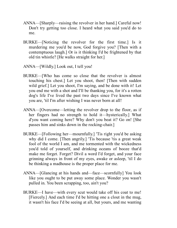- ANNA—[Sharply—raising the revolver in her hand.] Careful now! Don't try getting too close. I heard what you said you'd do to me.
- BURKE—[Noticing the revolver for the first time.] Is it murdering me you'd be now, God forgive you? [Then with a contemptuous laugh.] Or is it thinking I'd be frightened by that old tin whistle? [He walks straight for her.]
- ANNA—[Wildly.] Look out, I tell you!
- BURKE—[Who has come so close that the revolver is almost touching his chest.] Let you shoot, then! [Then with sudden wild grief.] Let you shoot, I'm saying, and be done with it! Let you end me with a shot and I'll be thanking you, for it's a rotten dog's life I've lived the past two days since I've known what you are, 'til I'm after wishing I was never born at all!
- ANNA—[Overcome—letting the revolver drop to the floor, as if her fingers had no strength to hold it—hysterically.] What d'you want coming here? Why don't you beat it? Go on! [She passes him and sinks down in the rocking-chair.]
- BURKE—[Following her—mournfully.] 'Tis right you'd be asking why did I come. [Then angrily.] 'Tis because 'tis a great weak fool of the world I am, and me tormented with the wickedness you'd told of yourself, and drinking oceans of booze that'd make me forget. Forget? Divil a word I'd forget, and your face grinning always in front of my eyes, awake or asleep, 'til I do be thinking a madhouse is the proper place for me.
- ANNA—[Glancing at his hands and—face—scornfully] You look like you ought to be put away some place. Wonder you wasn't pulled in. You been scrapping, too, ain't you?
- BURKE—I have—with every scut would take off his coat to me! [Fiercely.] And each time I'd be hitting one a clout in the mug, it wasn't his face I'd be seeing at all, but yours, and me wanting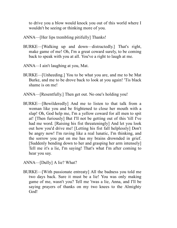to drive you a blow would knock you out of this world where I wouldn't be seeing or thinking more of you.

- ANNA—[Her lips trembling pitifully] Thanks!
- BURKE—[Walking up and down—distractedly.] That's right, make game of me! Oh, I'm a great coward surely, to be coming back to speak with you at all. You've a right to laugh at me.
- ANNA—I ain't laughing at you, Mat.
- BURKE—[Unheeding.] You to be what you are, and me to be Mat Burke, and me to be drove back to look at you again! 'Tis black shame is on me!
- ANNA—[Resentfully.] Then get out. No one's holding you!
- BURKE—[Bewilderedly] And me to listen to that talk from a woman like you and be frightened to close her mouth with a slap! Oh, God help me, I'm a yellow coward for all men to spit at! [Then furiously] But I'll not be getting out of this 'till I've had me word. [Raising his fist threateningly] And let you look out how you'd drive me! [Letting his fist fall helplessly] Don't be angry now! I'm raving like a real lunatic, I'm thinking, and the sorrow you put on me has my brains drownded in grief. [Suddenly bending down to her and grasping her arm intensely] Tell me it's a lie, I'm saying! That's what I'm after coming to hear you say.
- ANNA—[Dully] A lie? What?
- BURKE—[With passionate entreaty] All the badness you told me two days back. Sure it must be a lie! You was only making game of me, wasn't you? Tell me 'twas a lie, Anna, and I'll be saying prayers of thanks on my two knees to the Almighty God!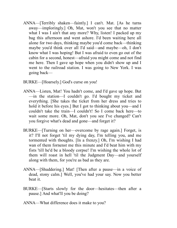- ANNA—[Terribly shaken—faintly.] I can't. Mat. [As he turns away—imploringly.] Oh, Mat, won't you see that no matter what I was I ain't that any more? Why, listen! I packed up my bag this afternoon and went ashore. I'd been waiting here all alone for two days, thinking maybe you'd come back—thinking maybe you'd think over all I'd said—and maybe—oh, I don't know what I was hoping! But I was afraid to even go out of the cabin for a second, honest—afraid you might come and not find me here. Then I gave up hope when you didn't show up and I went to the railroad station. I was going to New York. I was going back—
- BURKE—[Hoarsely.] God's curse on you!
- ANNA—Listen, Mat! You hadn't come, and I'd gave up hope. But —in the station—I couldn't go. I'd bought my ticket and everything. [She takes the ticket from her dress and tries to hold it before his eyes.] But I got to thinking about you—and I couldn't take the train—I couldn't! So I come back here—to wait some more. Oh, Mat, don't you see I've changed? Can't you forgive what's dead and gone—and forget it?
- BURKE—[Turning on her—overcome by rage again.] Forget, is it? I'll not forget 'til my dying day, I'm telling you, and me tormented with thoughts. [In a frenzy.] Oh, I'm wishing I had wan of them fornenst me this minute and I'd beat him with my fists 'till he'd be a bloody corpse! I'm wishing the whole lot of them will roast in hell 'til the Judgment Day—and yourself along with them, for you're as bad as they are.
- ANNA—[Shuddering.] Mat! [Then after a pause—in a voice of dead, stony calm.] Well, you've had your say. Now you better beat it.
- BURKE—[Starts slowly for the door—hesitates—then after a pause.] And what'll you be doing?
- ANNA—What difference does it make to you?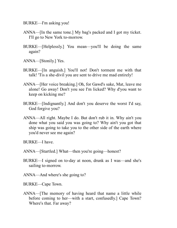BURKE—I'm asking you!

- ANNA—[In the same tone.] My bag's packed and I got my ticket. I'll go to New York to-morrow.
- BURKE—[Helplessly.] You mean—you'll be doing the same again?
- ANNA—[Stonily.] Yes.
- BURKE—[In anguish.] You'll not! Don't torment me with that talk! 'Tis a she-divil you are sent to drive me mad entirely!
- ANNA—[Her voice breaking.] Oh, for Gawd's sake, Mat, leave me alone! Go away! Don't you see I'm licked? Why d'you want to keep on kicking me?
- BURKE—[Indignantly.] And don't you deserve the worst I'd say, God forgive you?
- ANNA—All right. Maybe I do. But don't rub it in. Why ain't you done what you said you was going to? Why ain't you got that ship was going to take you to the other side of the earth where you'd never see me again?
- BURKE—I have.
- ANNA—[Startled.] What—then you're going—honest?
- BURKE—I signed on to-day at noon, drunk as I was—and she's sailing to-morrow.
- ANNA—And where's she going to?
- BURKE—Cape Town.
- ANNA—[The memory of having heard that name a little while before coming to her—with a start, confusedly.] Cape Town? Where's that. Far away?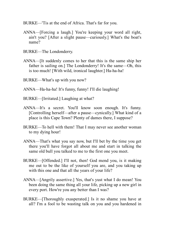- BURKE—'Tis at the end of Africa. That's far for you.
- ANNA—[Forcing a laugh.] You're keeping your word all right, ain't you? [After a slight pause—curiously.] What's the boat's name?
- BURKE—The Londonderry.
- ANNA—[It suddenly comes to her that this is the same ship her father is sailing on.] The Londonderry! It's the same—Oh, this is too much! [With wild, ironical laughter.] Ha-ha-ha!
- BURKE—What's up with you now?
- ANNA—Ha-ha-ha! It's funny, funny! I'll die laughing!
- BURKE—[Irritated.] Laughing at what?
- ANNA—It's a secret. You'll know soon enough. It's funny. [Controlling herself—after a pause—cynically.] What kind of a place is this Cape Town? Plenty of dames there, I suppose?
- BURKE—To hell with them! That I may never see another woman to my dying hour!
- ANNA—That's what you say now, but I'll bet by the time you get there you'll have forgot all about me and start in talking the same old bull you talked to me to the first one you meet.
- BURKE—[Offended.] I'll not, then! God mend you, is it making me out to be the like of yourself you are, and you taking up with this one and that all the years of your life?
- ANNA—[Angrily assertive.] Yes, that's yust what I do mean! You been doing the same thing all your life, picking up a new girl in every port. How're you any better than I was?
- BURKE—[Thoroughly exasperated.] Is it no shame you have at all? I'm a fool to be wasting talk on you and you hardened in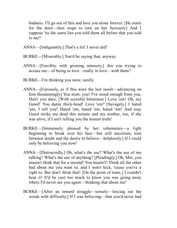badness. I'll go out of this and lave you alone forever. [He starts for the door—then stops to turn on her furiously] And I suppose 'tis the same lies you told them all before that you told to me?

- ANNA—[Indignantly.] That's a lie! I never did!
- BURKE—[Miserably.] You'd be saying that, anyway.
- ANNA—[Forcibly, with growing intensity.] Are you trying to accuse me—of being in love—really in love—with them?
- BURKE—I'm thinking you were, surely.
- ANNA—[Furiously, as if this were the last insult—advancing on him threateningly] You mutt, you! I've stood enough from you. Don't you dare. [With scornful bitterness.] Love 'em! Oh, my Gawd! You damn thick-head! Love 'em? [Savagely.] I hated 'em, I tell you! Hated 'em, hated 'em, hated 'em! And may Gawd strike me dead this minute and my mother, too, if she was alive, if I ain't telling you the honest truth!
- BURKE—[Immensely pleased by her vehemence—a light beginning to break over his face—but still uncertain, torn between doubt and the desire to believe—helplessly.] If I could only be believing you now!
- ANNA—[Distractedly.] Oh, what's the use? What's the use of me talking? What's the use of anything? [Pleadingly.] Oh, Mat, you mustn't think that for a second! You mustn't! Think all the other bad about me you want to, and I won't kick, 'cause you've a right to. But don't think that! [On the point of tears.] I couldn't bear it! It'd be yust too much to know you was going away where I'd never see you again—thinking that about me!
- BURKE—[After an inward struggle—tensely—forcing out the words with difficulty.] If I was believing—that you'd never had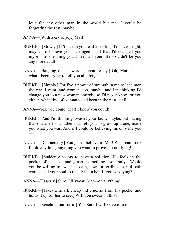love for any other man in the world but me—I could be forgetting the rest, maybe.

- ANNA—[With a cry of joy.] Mat!
- BURKE—[Slowly.] If 'tis truth you're after telling, I'd have a right, maybe, to believe you'd changed—and that I'd changed you myself 'til the thing you'd been all your life wouldn't be you any more at all.
- ANNA—[Hanging on his words—breathlessly.] Oh, Mat! That's what I been trying to tell you all along!
- BURKE—[Simply.] For I've a power of strength in me to lead men the way I want, and women, too, maybe, and I'm thinking I'd change you to a new woman entirely, so I'd never know, or you either, what kind of woman you'd been in the past at all.
- ANNA—Yes, you could, Mat! I know you could!
- BURKE—And I'm thinking 'twasn't your fault, maybe, but having that old ape for a father that left you to grow up alone, made you what you was. And if I could be believing 'tis only me you —
- ANNA—[Distractedly.] You got to believe it. Mat! What can I do? I'll do anything, anything you want to prove I'm not lying!
- BURKE—[Suddenly seems to have a solution. He feels in the pocket of his coat and grasps something—solemnly.] Would you be willing to swear an oath, now—a terrible, fearful oath would send your soul to the divils in hell if you was lying?
- ANNA—[Eagerly.] Sure, I'll swear, Mat—on anything!
- BURKE—[Takes a small, cheap old crucifix from his pocket and holds it up for her to see.] Will you swear on this?
- ANNA—[Reaching out for it.] Yes. Sure I will. Give it to me.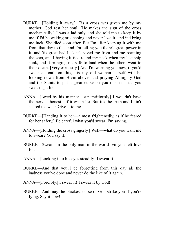- BURKE—[Holding it away.] 'Tis a cross was given me by my mother, God rest her soul. [He makes the sign of the cross mechanically.] I was a lad only, and she told me to keep it by me if I'd be waking or sleeping and never lose it, and it'd bring me luck. She died soon after. But I'm after keeping it with me from that day to this, and I'm telling you there's great power in it, and 'tis great bad luck it's saved me from and me roaming the seas, and I having it tied round my neck when my last ship sunk, and it bringing me safe to land when the others went to their death. [Very earnestly.] And I'm warning you now, if you'd swear an oath on this, 'tis my old woman herself will be looking down from Hivin above, and praying Almighty God and the Saints to put a great curse on you if she'd hear you swearing a lie!
- ANNA—[Awed by his manner—superstitiously] I wouldn't have the nerve—honest—if it was a lie. But it's the truth and I ain't scared to swear. Give it to me.
- BURKE—[Handing it to her—almost frightenedly, as if he feared for her safety.] Be careful what you'd swear, I'm saying.
- ANNA—[Holding the cross gingerly.] Well—what do you want me to swear? You say it.
- BURKE—Swear I'm the only man in the world ivir you felt love for.
- ANNA—[Looking into his eyes steadily] I swear it.
- BURKE—And that you'll be forgetting from this day all the badness you've done and never do the like of it again.
- ANNA—[Forcibly.] I swear it! I swear it by God!
- BURKE—And may the blackest curse of God strike you if you're lying. Say it now!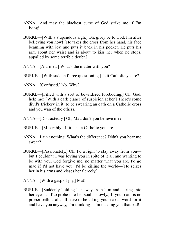- ANNA—And may the blackest curse of God strike me if I'm lying!
- BURKE—[With a stupendous sigh.] Oh, glory be to God, I'm after believing you now! [He takes the cross from her hand, his face beaming with joy, and puts it back in his pocket. He puts his arm about her waist and is about to kiss her when he stops, appalled by some terrible doubt.]
- ANNA—[Alarmed.] What's the matter with you?
- BURKE—[With sudden fierce questioning.] Is it Catholic ye are?
- ANNA—[Confused.] No. Why?
- BURKE—[Filled with a sort of bewildered foreboding.] Oh, God, help me! [With a dark glance of suspicion at her.] There's some divil's trickery in it, to be swearing an oath on a Catholic cross and you wan of the others.
- ANNA—[Distractedly.] Oh, Mat, don't you believe me?
- BURKE—[Miserably.] If it isn't a Catholic you are—
- ANNA—I ain't nothing. What's the difference? Didn't you hear me swear?
- BURKE—[Passionately.] Oh, I'd a right to stay away from you but I couldn't! I was loving you in spite of it all and wanting to be with you, God forgive me, no matter what you are. I'd go mad if I'd not have you! I'd be killing the world—[He seizes her in his arms and kisses her fiercely.]
- ANNA—[With a gasp of joy.] Mat!
- BURKE—[Suddenly holding her away from him and staring into her eyes as if to probe into her soul—slowly.] If your oath is no proper oath at all, I'll have to be taking your naked word for it and have you anyway, I'm thinking—I'm needing you that bad!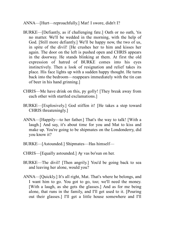- ANNA—[Hurt—reproachfully.] Mat! I swore, didn't I?
- BURKE—[Defiantly, as if challenging fate.] Oath or no oath, 'tis no matter. We'll be wedded in the morning, with the help of God. [Still more defiantly.] We'll be happy now, the two of us, in spite of the divil! [He crushes her to him and kisses her again. The door on the left is pushed open and CHRIS appears in the doorway. He stands blinking at them. At first the old expression of hatred of BURKE comes into his eyes instinctively. Then a look of resignation and relief takes its place. His face lights up with a sudden happy thought. He turns back into the bedroom—reappears immediately with the tin can of beer in his hand grinning.]
- CHRIS—Me have drink on this, py golly! [They break away from each other with startled exclamations.]
- BURKE—[Explosively.] God stiffen it! [He takes a step toward CHRIS threateningly.]
- ANNA—[Happily—to her father.] That's the way to talk! [With a laugh.] And say, it's about time for you and Mat to kiss and make up. You're going to be shipmates on the Londonderry, did you know it?
- BURKE—[Astounded.] Shipmates—Has himself—
- CHRIS—[Equally astounded.] Ay vas bo'sun on her.
- BURKE—The divil! [Then angrily.] You'd be going back to sea and leaving her alone, would you?
- ANNA—[Quickly.] It's all right, Mat. That's where he belongs, and I want him to go. You got to go, too; we'll need the money. [With a laugh, as she gets the glasses.] And as for me being alone, that runs in the family, and I'll get used to it. [Pouring out their glasses.] I'll get a little house somewhere and I'll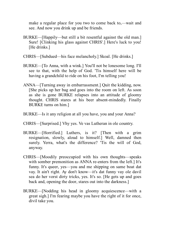make a regular place for you two to come back to,—wait and see. And now you drink up and be friends.

- BURKE—[Happily—but still a bit resentful against the old man.] Sure! [Clinking his glass against CHRIS'.] Here's luck to you! [He drinks.]
- CHRIS—[Subdued—his face melancholy.] Skoal. [He drinks.]
- BURKE—[To Anna, with a wink.] You'll not be lonesome long. I'll see to that, with the help of God. 'Tis himself here will be having a grandchild to ride on his foot, I'm telling you!
- ANNA—[Turning away in embarrassment.] Quit the kidding, now. [She picks up her bag and goes into the room on left. As soon as she is gone BURKE relapses into an attitude of gloomy thought. CHRIS stares at his beer absent-mindedly. Finally BURKE turns on him.]
- BURKE—Is it any religion at all you have, you and your Anna?
- CHRIS—[Surprised.] Vhy yes. Ve vas Lutheran in ole country.
- BURKE—[Horrified.] Luthers, is it? [Then with a grim resignation, slowly, aloud to himself.] Well, damned then surely. Yerra, what's the difference? 'Tis the will of God, anyway.
- CHRIS—[Moodily preoccupied with his own thoughts—speaks with somber premonition as ANNA re-enters from the left.] It's funny. It's queer, yes—you and me shipping on same boat dat vay. It ain't right. Ay don't know—it's dat funny vay ole davil sea do her vorst dirty tricks, yes. It's so. [He gets up and goes back and, opening the door, stares out into the darkness.]
- BURKE—[Nodding his head in gloomy acquiescence—with a great sigh.] I'm fearing maybe you have the right of it for once, divil take you.